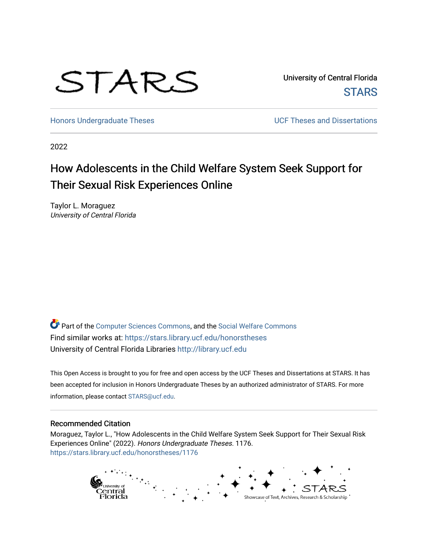# STARS

University of Central Florida **STARS** 

[Honors Undergraduate Theses](https://stars.library.ucf.edu/honorstheses) **No. 2018** UCF Theses and Dissertations

2022

# How Adolescents in the Child Welfare System Seek Support for Their Sexual Risk Experiences Online

Taylor L. Moraguez University of Central Florida

Part of the [Computer Sciences Commons](https://network.bepress.com/hgg/discipline/142?utm_source=stars.library.ucf.edu%2Fhonorstheses%2F1176&utm_medium=PDF&utm_campaign=PDFCoverPages), and the [Social Welfare Commons](https://network.bepress.com/hgg/discipline/401?utm_source=stars.library.ucf.edu%2Fhonorstheses%2F1176&utm_medium=PDF&utm_campaign=PDFCoverPages)  Find similar works at: <https://stars.library.ucf.edu/honorstheses> University of Central Florida Libraries [http://library.ucf.edu](http://library.ucf.edu/) 

This Open Access is brought to you for free and open access by the UCF Theses and Dissertations at STARS. It has been accepted for inclusion in Honors Undergraduate Theses by an authorized administrator of STARS. For more information, please contact [STARS@ucf.edu.](mailto:STARS@ucf.edu)

#### Recommended Citation

Moraguez, Taylor L., "How Adolescents in the Child Welfare System Seek Support for Their Sexual Risk Experiences Online" (2022). Honors Undergraduate Theses. 1176. [https://stars.library.ucf.edu/honorstheses/1176](https://stars.library.ucf.edu/honorstheses/1176?utm_source=stars.library.ucf.edu%2Fhonorstheses%2F1176&utm_medium=PDF&utm_campaign=PDFCoverPages)

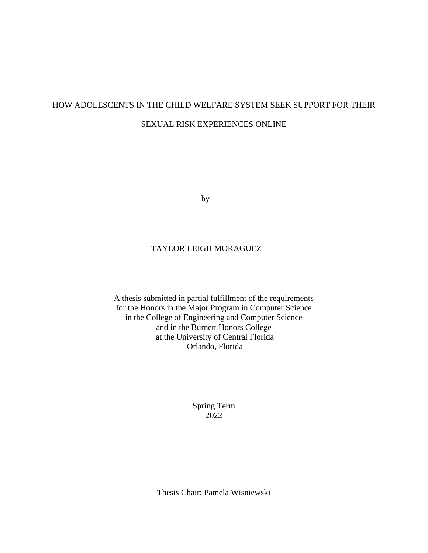# HOW ADOLESCENTS IN THE CHILD WELFARE SYSTEM SEEK SUPPORT FOR THEIR SEXUAL RISK EXPERIENCES ONLINE

by

## TAYLOR LEIGH MORAGUEZ

A thesis submitted in partial fulfillment of the requirements for the Honors in the Major Program in Computer Science in the College of Engineering and Computer Science and in the Burnett Honors College at the University of Central Florida Orlando, Florida

> Spring Term 2022

Thesis Chair: Pamela Wisniewski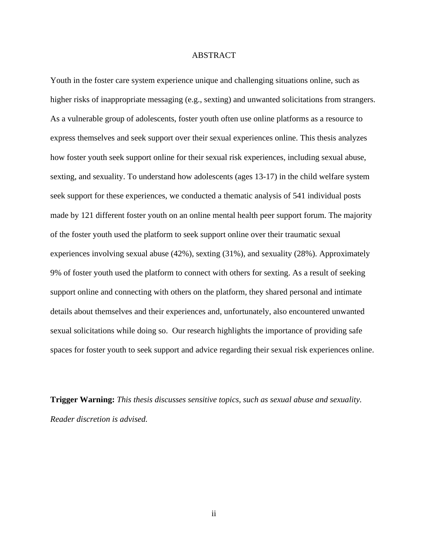#### ABSTRACT

Youth in the foster care system experience unique and challenging situations online, such as higher risks of inappropriate messaging (e.g., sexting) and unwanted solicitations from strangers. As a vulnerable group of adolescents, foster youth often use online platforms as a resource to express themselves and seek support over their sexual experiences online. This thesis analyzes how foster youth seek support online for their sexual risk experiences, including sexual abuse, sexting, and sexuality. To understand how adolescents (ages 13-17) in the child welfare system seek support for these experiences, we conducted a thematic analysis of 541 individual posts made by 121 different foster youth on an online mental health peer support forum. The majority of the foster youth used the platform to seek support online over their traumatic sexual experiences involving sexual abuse (42%), sexting (31%), and sexuality (28%). Approximately 9% of foster youth used the platform to connect with others for sexting. As a result of seeking support online and connecting with others on the platform, they shared personal and intimate details about themselves and their experiences and, unfortunately, also encountered unwanted sexual solicitations while doing so. Our research highlights the importance of providing safe spaces for foster youth to seek support and advice regarding their sexual risk experiences online.

**Trigger Warning:** *This thesis discusses sensitive topics, such as sexual abuse and sexuality. Reader discretion is advised.*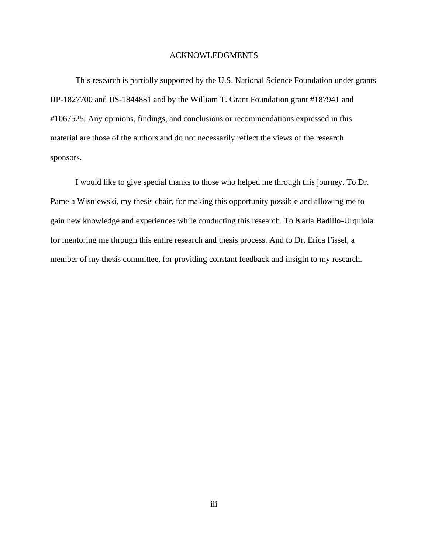#### ACKNOWLEDGMENTS

This research is partially supported by the U.S. National Science Foundation under grants IIP-1827700 and IIS-1844881 and by the William T. Grant Foundation grant #187941 and #1067525. Any opinions, findings, and conclusions or recommendations expressed in this material are those of the authors and do not necessarily reflect the views of the research sponsors.

I would like to give special thanks to those who helped me through this journey. To Dr. Pamela Wisniewski, my thesis chair, for making this opportunity possible and allowing me to gain new knowledge and experiences while conducting this research. To Karla Badillo-Urquiola for mentoring me through this entire research and thesis process. And to Dr. Erica Fissel, a member of my thesis committee, for providing constant feedback and insight to my research.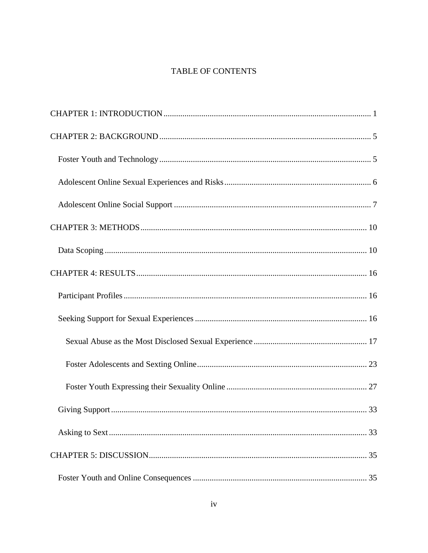# TABLE OF CONTENTS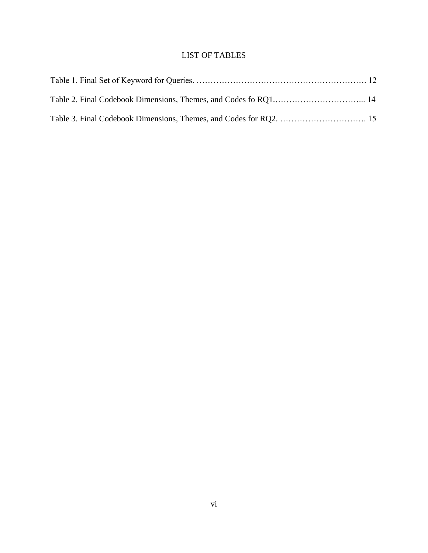# LIST OF TABLES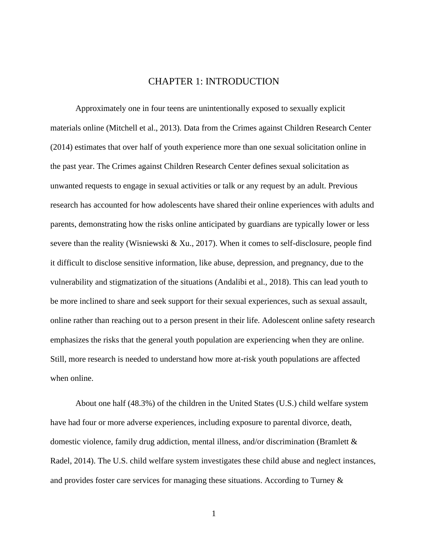# CHAPTER 1: INTRODUCTION

<span id="page-7-0"></span>Approximately one in four teens are unintentionally exposed to sexually explicit materials online (Mitchell et al., 2013). Data from the Crimes against Children Research Center (2014) estimates that over half of youth experience more than one sexual solicitation online in the past year. The Crimes against Children Research Center defines sexual solicitation as unwanted requests to engage in sexual activities or talk or any request by an adult. Previous research has accounted for how adolescents have shared their online experiences with adults and parents, demonstrating how the risks online anticipated by guardians are typically lower or less severe than the reality (Wisniewski & Xu., 2017). When it comes to self-disclosure, people find it difficult to disclose sensitive information, like abuse, depression, and pregnancy, due to the vulnerability and stigmatization of the situations (Andalibi et al., 2018). This can lead youth to be more inclined to share and seek support for their sexual experiences, such as sexual assault, online rather than reaching out to a person present in their life. Adolescent online safety research emphasizes the risks that the general youth population are experiencing when they are online. Still, more research is needed to understand how more at-risk youth populations are affected when online.

About one half (48.3%) of the children in the United States (U.S.) child welfare system have had four or more adverse experiences, including exposure to parental divorce, death, domestic violence, family drug addiction, mental illness, and/or discrimination (Bramlett & Radel, 2014). The U.S. child welfare system investigates these child abuse and neglect instances, and provides foster care services for managing these situations. According to Turney &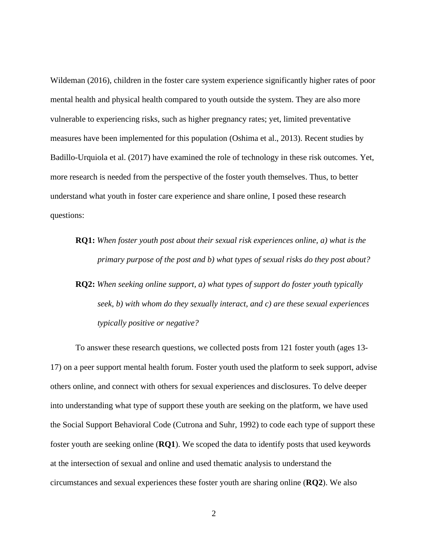Wildeman (2016), children in the foster care system experience significantly higher rates of poor mental health and physical health compared to youth outside the system. They are also more vulnerable to experiencing risks, such as higher pregnancy rates; yet, limited preventative measures have been implemented for this population (Oshima et al., 2013). Recent studies by Badillo-Urquiola et al. (2017) have examined the role of technology in these risk outcomes. Yet, more research is needed from the perspective of the foster youth themselves. Thus, to better understand what youth in foster care experience and share online, I posed these research questions:

- **RQ1:** *When foster youth post about their sexual risk experiences online, a) what is the primary purpose of the post and b) what types of sexual risks do they post about?*
- **RQ2:** *When seeking online support, a) what types of support do foster youth typically seek, b) with whom do they sexually interact, and c) are these sexual experiences typically positive or negative?*

To answer these research questions, we collected posts from 121 foster youth (ages 13- 17) on a peer support mental health forum. Foster youth used the platform to seek support, advise others online, and connect with others for sexual experiences and disclosures. To delve deeper into understanding what type of support these youth are seeking on the platform, we have used the Social Support Behavioral Code (Cutrona and Suhr, 1992) to code each type of support these foster youth are seeking online (**RQ1**). We scoped the data to identify posts that used keywords at the intersection of sexual and online and used thematic analysis to understand the circumstances and sexual experiences these foster youth are sharing online (**RQ2**). We also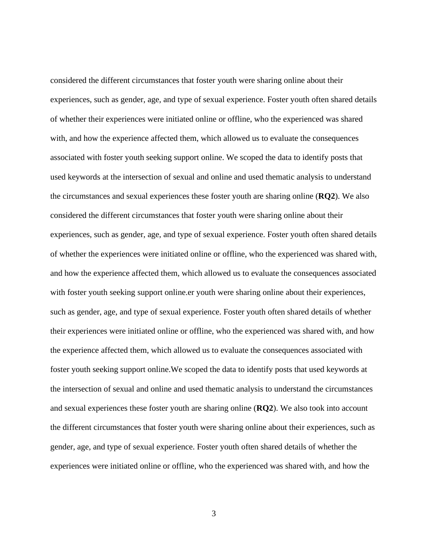considered the different circumstances that foster youth were sharing online about their experiences, such as gender, age, and type of sexual experience. Foster youth often shared details of whether their experiences were initiated online or offline, who the experienced was shared with, and how the experience affected them, which allowed us to evaluate the consequences associated with foster youth seeking support online. We scoped the data to identify posts that used keywords at the intersection of sexual and online and used thematic analysis to understand the circumstances and sexual experiences these foster youth are sharing online (**RQ2**). We also considered the different circumstances that foster youth were sharing online about their experiences, such as gender, age, and type of sexual experience. Foster youth often shared details of whether the experiences were initiated online or offline, who the experienced was shared with, and how the experience affected them, which allowed us to evaluate the consequences associated with foster youth seeking support online.er youth were sharing online about their experiences, such as gender, age, and type of sexual experience. Foster youth often shared details of whether their experiences were initiated online or offline, who the experienced was shared with, and how the experience affected them, which allowed us to evaluate the consequences associated with foster youth seeking support online.We scoped the data to identify posts that used keywords at the intersection of sexual and online and used thematic analysis to understand the circumstances and sexual experiences these foster youth are sharing online (**RQ2**). We also took into account the different circumstances that foster youth were sharing online about their experiences, such as gender, age, and type of sexual experience. Foster youth often shared details of whether the experiences were initiated online or offline, who the experienced was shared with, and how the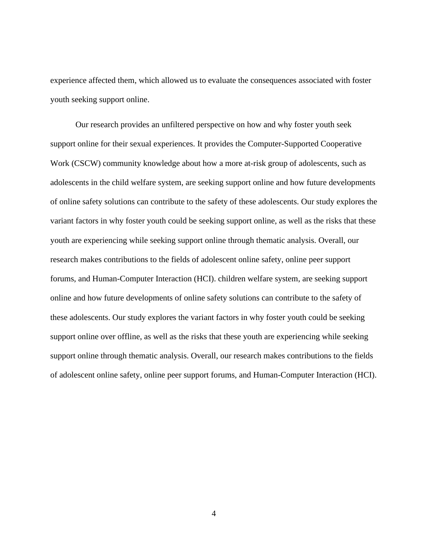experience affected them, which allowed us to evaluate the consequences associated with foster youth seeking support online.

Our research provides an unfiltered perspective on how and why foster youth seek support online for their sexual experiences. It provides the Computer-Supported Cooperative Work (CSCW) community knowledge about how a more at-risk group of adolescents, such as adolescents in the child welfare system, are seeking support online and how future developments of online safety solutions can contribute to the safety of these adolescents. Our study explores the variant factors in why foster youth could be seeking support online, as well as the risks that these youth are experiencing while seeking support online through thematic analysis. Overall, our research makes contributions to the fields of adolescent online safety, online peer support forums, and Human-Computer Interaction (HCI). children welfare system, are seeking support online and how future developments of online safety solutions can contribute to the safety of these adolescents. Our study explores the variant factors in why foster youth could be seeking support online over offline, as well as the risks that these youth are experiencing while seeking support online through thematic analysis. Overall, our research makes contributions to the fields of adolescent online safety, online peer support forums, and Human-Computer Interaction (HCI).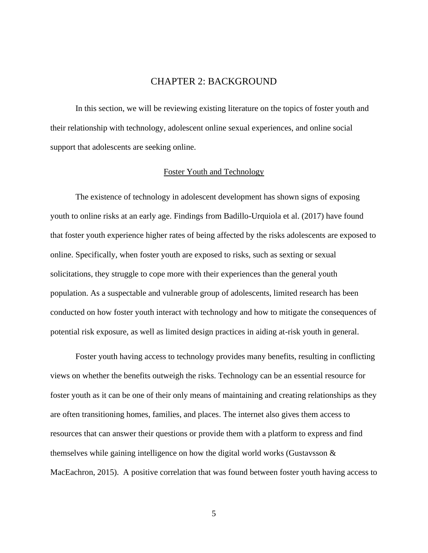# CHAPTER 2: BACKGROUND

<span id="page-11-0"></span>In this section, we will be reviewing existing literature on the topics of foster youth and their relationship with technology, adolescent online sexual experiences, and online social support that adolescents are seeking online.

#### Foster Youth and Technology

<span id="page-11-1"></span>The existence of technology in adolescent development has shown signs of exposing youth to online risks at an early age. Findings from Badillo-Urquiola et al. (2017) have found that foster youth experience higher rates of being affected by the risks adolescents are exposed to online. Specifically, when foster youth are exposed to risks, such as sexting or sexual solicitations, they struggle to cope more with their experiences than the general youth population. As a suspectable and vulnerable group of adolescents, limited research has been conducted on how foster youth interact with technology and how to mitigate the consequences of potential risk exposure, as well as limited design practices in aiding at-risk youth in general.

Foster youth having access to technology provides many benefits, resulting in conflicting views on whether the benefits outweigh the risks. Technology can be an essential resource for foster youth as it can be one of their only means of maintaining and creating relationships as they are often transitioning homes, families, and places. The internet also gives them access to resources that can answer their questions or provide them with a platform to express and find themselves while gaining intelligence on how the digital world works (Gustavsson & MacEachron, 2015). A positive correlation that was found between foster youth having access to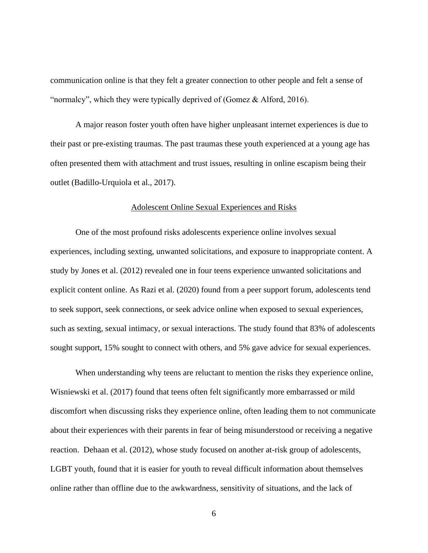communication online is that they felt a greater connection to other people and felt a sense of "normalcy", which they were typically deprived of (Gomez & Alford, 2016).

A major reason foster youth often have higher unpleasant internet experiences is due to their past or pre-existing traumas. The past traumas these youth experienced at a young age has often presented them with attachment and trust issues, resulting in online escapism being their outlet (Badillo-Urquiola et al., 2017).

#### Adolescent Online Sexual Experiences and Risks

<span id="page-12-0"></span>One of the most profound risks adolescents experience online involves sexual experiences, including sexting, unwanted solicitations, and exposure to inappropriate content. A study by Jones et al. (2012) revealed one in four teens experience unwanted solicitations and explicit content online. As Razi et al. (2020) found from a peer support forum, adolescents tend to seek support, seek connections, or seek advice online when exposed to sexual experiences, such as sexting, sexual intimacy, or sexual interactions. The study found that 83% of adolescents sought support, 15% sought to connect with others, and 5% gave advice for sexual experiences.

When understanding why teens are reluctant to mention the risks they experience online, Wisniewski et al. (2017) found that teens often felt significantly more embarrassed or mild discomfort when discussing risks they experience online, often leading them to not communicate about their experiences with their parents in fear of being misunderstood or receiving a negative reaction. Dehaan et al. (2012), whose study focused on another at-risk group of adolescents, LGBT youth, found that it is easier for youth to reveal difficult information about themselves online rather than offline due to the awkwardness, sensitivity of situations, and the lack of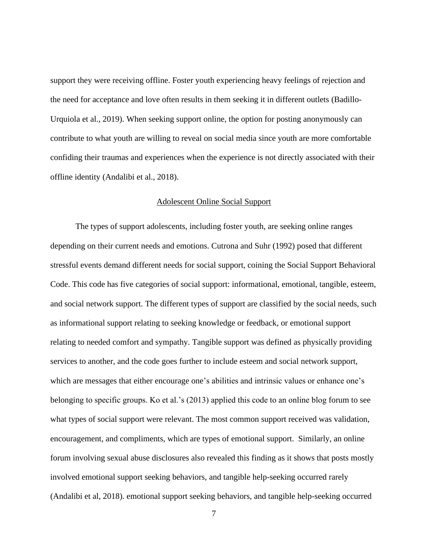support they were receiving offline. Foster youth experiencing heavy feelings of rejection and the need for acceptance and love often results in them seeking it in different outlets (Badillo-Urquiola et al., 2019). When seeking support online, the option for posting anonymously can contribute to what youth are willing to reveal on social media since youth are more comfortable confiding their traumas and experiences when the experience is not directly associated with their offline identity (Andalibi et al., 2018).

#### Adolescent Online Social Support

<span id="page-13-0"></span>The types of support adolescents, including foster youth, are seeking online ranges depending on their current needs and emotions. Cutrona and Suhr (1992) posed that different stressful events demand different needs for social support, coining the Social Support Behavioral Code. This code has five categories of social support: informational, emotional, tangible, esteem, and social network support. The different types of support are classified by the social needs, such as informational support relating to seeking knowledge or feedback, or emotional support relating to needed comfort and sympathy. Tangible support was defined as physically providing services to another, and the code goes further to include esteem and social network support, which are messages that either encourage one's abilities and intrinsic values or enhance one's belonging to specific groups. Ko et al.'s (2013) applied this code to an online blog forum to see what types of social support were relevant. The most common support received was validation, encouragement, and compliments, which are types of emotional support. Similarly, an online forum involving sexual abuse disclosures also revealed this finding as it shows that posts mostly involved emotional support seeking behaviors, and tangible help-seeking occurred rarely (Andalibi et al, 2018). emotional support seeking behaviors, and tangible help-seeking occurred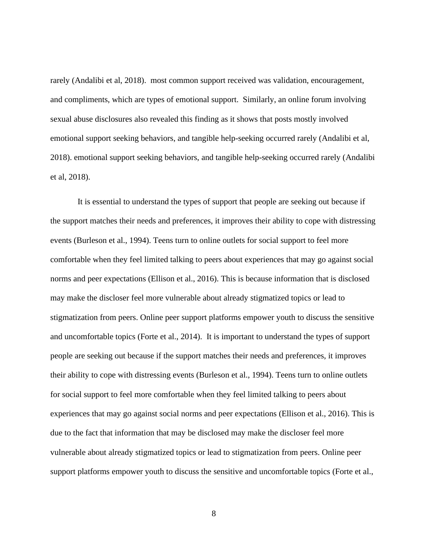rarely (Andalibi et al, 2018). most common support received was validation, encouragement, and compliments, which are types of emotional support. Similarly, an online forum involving sexual abuse disclosures also revealed this finding as it shows that posts mostly involved emotional support seeking behaviors, and tangible help-seeking occurred rarely (Andalibi et al, 2018). emotional support seeking behaviors, and tangible help-seeking occurred rarely (Andalibi et al, 2018).

It is essential to understand the types of support that people are seeking out because if the support matches their needs and preferences, it improves their ability to cope with distressing events (Burleson et al., 1994). Teens turn to online outlets for social support to feel more comfortable when they feel limited talking to peers about experiences that may go against social norms and peer expectations (Ellison et al., 2016). This is because information that is disclosed may make the discloser feel more vulnerable about already stigmatized topics or lead to stigmatization from peers. Online peer support platforms empower youth to discuss the sensitive and uncomfortable topics (Forte et al., 2014). It is important to understand the types of support people are seeking out because if the support matches their needs and preferences, it improves their ability to cope with distressing events (Burleson et al., 1994). Teens turn to online outlets for social support to feel more comfortable when they feel limited talking to peers about experiences that may go against social norms and peer expectations (Ellison et al., 2016). This is due to the fact that information that may be disclosed may make the discloser feel more vulnerable about already stigmatized topics or lead to stigmatization from peers. Online peer support platforms empower youth to discuss the sensitive and uncomfortable topics (Forte et al.,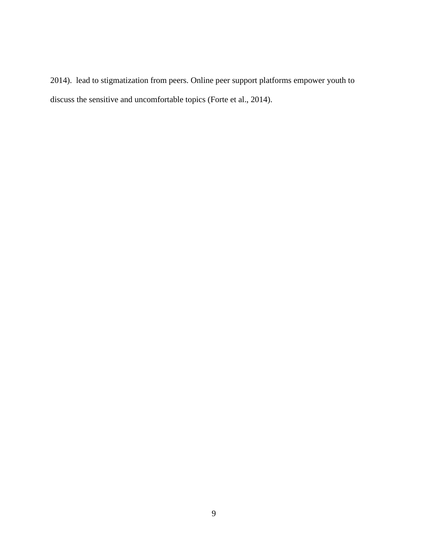2014). lead to stigmatization from peers. Online peer support platforms empower youth to discuss the sensitive and uncomfortable topics (Forte et al., 2014).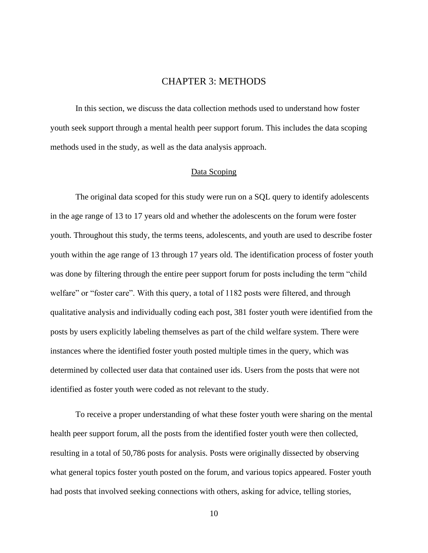## CHAPTER 3: METHODS

<span id="page-16-0"></span>In this section, we discuss the data collection methods used to understand how foster youth seek support through a mental health peer support forum. This includes the data scoping methods used in the study, as well as the data analysis approach.

#### Data Scoping

<span id="page-16-1"></span>The original data scoped for this study were run on a SQL query to identify adolescents in the age range of 13 to 17 years old and whether the adolescents on the forum were foster youth. Throughout this study, the terms teens, adolescents, and youth are used to describe foster youth within the age range of 13 through 17 years old. The identification process of foster youth was done by filtering through the entire peer support forum for posts including the term "child welfare" or "foster care". With this query, a total of 1182 posts were filtered, and through qualitative analysis and individually coding each post, 381 foster youth were identified from the posts by users explicitly labeling themselves as part of the child welfare system. There were instances where the identified foster youth posted multiple times in the query, which was determined by collected user data that contained user ids. Users from the posts that were not identified as foster youth were coded as not relevant to the study.

To receive a proper understanding of what these foster youth were sharing on the mental health peer support forum, all the posts from the identified foster youth were then collected, resulting in a total of 50,786 posts for analysis. Posts were originally dissected by observing what general topics foster youth posted on the forum, and various topics appeared. Foster youth had posts that involved seeking connections with others, asking for advice, telling stories,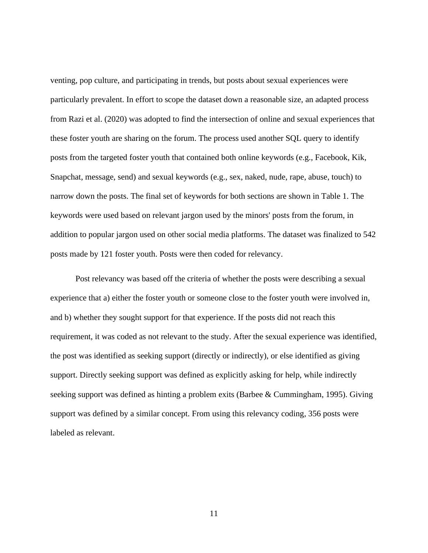venting, pop culture, and participating in trends, but posts about sexual experiences were particularly prevalent. In effort to scope the dataset down a reasonable size, an adapted process from Razi et al. (2020) was adopted to find the intersection of online and sexual experiences that these foster youth are sharing on the forum. The process used another SQL query to identify posts from the targeted foster youth that contained both online keywords (e.g., Facebook, Kik, Snapchat, message, send) and sexual keywords (e.g., sex, naked, nude, rape, abuse, touch) to narrow down the posts. The final set of keywords for both sections are shown in Table 1. The keywords were used based on relevant jargon used by the minors' posts from the forum, in addition to popular jargon used on other social media platforms. The dataset was finalized to 542 posts made by 121 foster youth. Posts were then coded for relevancy.

Post relevancy was based off the criteria of whether the posts were describing a sexual experience that a) either the foster youth or someone close to the foster youth were involved in, and b) whether they sought support for that experience. If the posts did not reach this requirement, it was coded as not relevant to the study. After the sexual experience was identified, the post was identified as seeking support (directly or indirectly), or else identified as giving support. Directly seeking support was defined as explicitly asking for help, while indirectly seeking support was defined as hinting a problem exits (Barbee & Cummingham, 1995). Giving support was defined by a similar concept. From using this relevancy coding, 356 posts were labeled as relevant.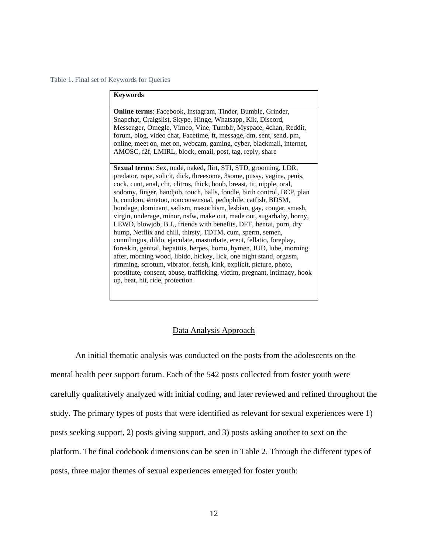#### Table 1. Final set of Keywords for Queries

| <b>Keywords</b>                                                                                                                                                                                                                                                                                                                                                                                                                                                                                                                                                                                                                                                                                                                                                                                                                                                                                                                                                                                                                                                   |
|-------------------------------------------------------------------------------------------------------------------------------------------------------------------------------------------------------------------------------------------------------------------------------------------------------------------------------------------------------------------------------------------------------------------------------------------------------------------------------------------------------------------------------------------------------------------------------------------------------------------------------------------------------------------------------------------------------------------------------------------------------------------------------------------------------------------------------------------------------------------------------------------------------------------------------------------------------------------------------------------------------------------------------------------------------------------|
| Online terms: Facebook, Instagram, Tinder, Bumble, Grinder,<br>Snapchat, Craigslist, Skype, Hinge, Whatsapp, Kik, Discord,<br>Messenger, Omegle, Vimeo, Vine, Tumblr, Myspace, 4chan, Reddit,<br>forum, blog, video chat, Facetime, ft, message, dm, sent, send, pm,<br>online, meet on, met on, webcam, gaming, cyber, blackmail, internet,<br>AMOSC, f2f, LMIRL, block, email, post, tag, reply, share                                                                                                                                                                                                                                                                                                                                                                                                                                                                                                                                                                                                                                                          |
| Sexual terms: Sex, nude, naked, flirt, STI, STD, grooming, LDR,<br>predator, rape, solicit, dick, threesome, 3some, pussy, vagina, penis,<br>cock, cunt, anal, clit, clitros, thick, boob, breast, tit, nipple, oral,<br>sodomy, finger, handjob, touch, balls, fondle, birth control, BCP, plan<br>b, condom, #metoo, nonconsensual, pedophile, catfish, BDSM,<br>bondage, dominant, sadism, masochism, lesbian, gay, cougar, smash,<br>virgin, underage, minor, nsfw, make out, made out, sugarbaby, horny,<br>LEWD, blowjob, B.J., friends with benefits, DFT, hentai, porn, dry<br>hump, Netflix and chill, thirsty, TDTM, cum, sperm, semen,<br>cunnilingus, dildo, ejaculate, masturbate, erect, fellatio, foreplay,<br>foreskin, genital, hepatitis, herpes, homo, hymen, IUD, lube, morning<br>after, morning wood, libido, hickey, lick, one night stand, orgasm,<br>rimming, scrotum, vibrator. fetish, kink, explicit, picture, photo,<br>prostitute, consent, abuse, trafficking, victim, pregnant, intimacy, hook<br>up, beat, hit, ride, protection |

#### Data Analysis Approach

An initial thematic analysis was conducted on the posts from the adolescents on the mental health peer support forum. Each of the 542 posts collected from foster youth were carefully qualitatively analyzed with initial coding, and later reviewed and refined throughout the study. The primary types of posts that were identified as relevant for sexual experiences were 1) posts seeking support, 2) posts giving support, and 3) posts asking another to sext on the platform. The final codebook dimensions can be seen in Table 2. Through the different types of posts, three major themes of sexual experiences emerged for foster youth: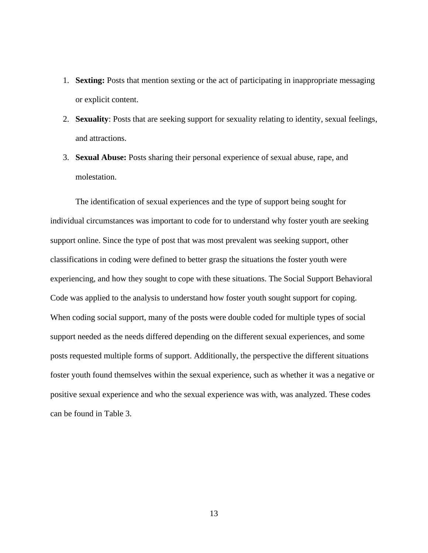- 1. **Sexting:** Posts that mention sexting or the act of participating in inappropriate messaging or explicit content.
- 2. **Sexuality**: Posts that are seeking support for sexuality relating to identity, sexual feelings, and attractions.
- 3. **Sexual Abuse:** Posts sharing their personal experience of sexual abuse, rape, and molestation.

The identification of sexual experiences and the type of support being sought for individual circumstances was important to code for to understand why foster youth are seeking support online. Since the type of post that was most prevalent was seeking support, other classifications in coding were defined to better grasp the situations the foster youth were experiencing, and how they sought to cope with these situations. The Social Support Behavioral Code was applied to the analysis to understand how foster youth sought support for coping. When coding social support, many of the posts were double coded for multiple types of social support needed as the needs differed depending on the different sexual experiences, and some posts requested multiple forms of support. Additionally, the perspective the different situations foster youth found themselves within the sexual experience, such as whether it was a negative or positive sexual experience and who the sexual experience was with, was analyzed. These codes can be found in Table 3.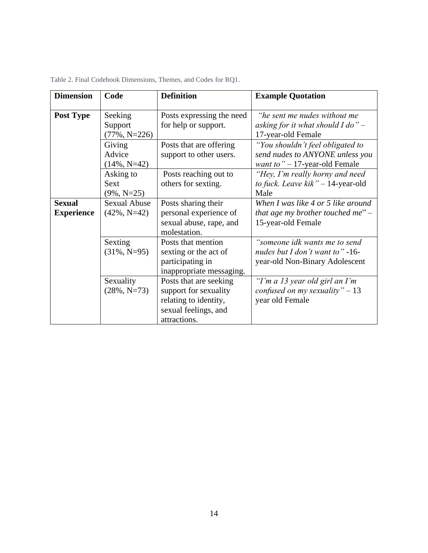| <b>Dimension</b>  | Code                | <b>Definition</b>         | <b>Example Quotation</b>                 |
|-------------------|---------------------|---------------------------|------------------------------------------|
|                   |                     |                           |                                          |
| <b>Post Type</b>  | Seeking             | Posts expressing the need | "he sent me nudes without me             |
|                   | Support             | for help or support.      | asking for it what should I do" $-$      |
|                   | $(77\%, N=226)$     |                           | 17-year-old Female                       |
|                   | Giving              | Posts that are offering   | "You shouldn't feel obligated to         |
|                   | Advice              | support to other users.   | send nudes to ANYONE unless you          |
|                   | $(14\%, N=42)$      |                           | <i>want to</i> $" - 17$ -year-old Female |
|                   | Asking to           | Posts reaching out to     | "Hey, I'm really horny and need          |
|                   | Sext                | others for sexting.       | to fuck. Leave kik" - 14-year-old        |
|                   | $(9\%, N=25)$       |                           | Male                                     |
| <b>Sexual</b>     | <b>Sexual Abuse</b> | Posts sharing their       | When I was like 4 or 5 like around       |
| <b>Experience</b> | $(42\%, N=42)$      | personal experience of    | that age my brother touched me" $-$      |
|                   |                     | sexual abuse, rape, and   | 15-year-old Female                       |
|                   |                     | molestation.              |                                          |
|                   | Sexting             | Posts that mention        | "someone idk wants me to send            |
|                   | $(31\%, N=95)$      | sexting or the act of     | nudes but I don't want to" $-16$ -       |
|                   |                     | participating in          | year-old Non-Binary Adolescent           |
|                   |                     | inappropriate messaging.  |                                          |
|                   | Sexuality           | Posts that are seeking    | "I'm a 13 year old girl an I'm           |
|                   | $(28\%, N=73)$      | support for sexuality     | confused on my sexuality" $-13$          |
|                   |                     | relating to identity,     | year old Female                          |
|                   |                     | sexual feelings, and      |                                          |
|                   |                     | attractions.              |                                          |

Table 2. Final Codebook Dimensions, Themes, and Codes for RQ1.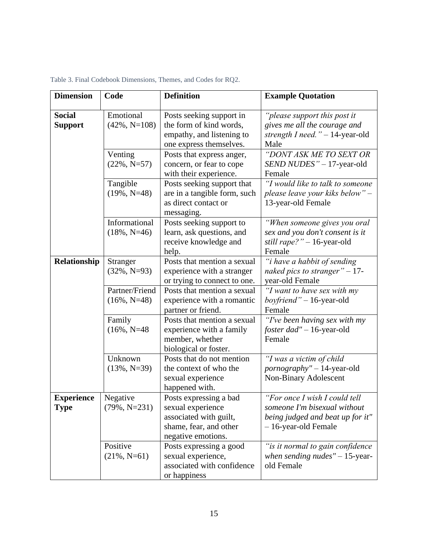| Table 3. Final Codebook Dimensions, Themes, and Codes for RQ2. |  |
|----------------------------------------------------------------|--|
|----------------------------------------------------------------|--|

| <b>Dimension</b>                 | Code                             | <b>Definition</b>                                                                                                     | <b>Example Quotation</b>                                                                                                  |
|----------------------------------|----------------------------------|-----------------------------------------------------------------------------------------------------------------------|---------------------------------------------------------------------------------------------------------------------------|
| <b>Social</b><br><b>Support</b>  | Emotional<br>$(42\%, N=108)$     | Posts seeking support in<br>the form of kind words,<br>empathy, and listening to<br>one express themselves.           | "please support this post it<br>gives me all the courage and<br>strength I need." $-$ 14-year-old<br>Male                 |
|                                  | Venting<br>$(22\%, N=57)$        | Posts that express anger,<br>concern, or fear to cope<br>with their experience.                                       | "DONT ASK ME TO SEXT OR<br>SEND NUDES" - 17-year-old<br>Female                                                            |
|                                  | Tangible<br>$(19\%, N=48)$       | Posts seeking support that<br>are in a tangible form, such<br>as direct contact or<br>messaging.                      | "I would like to talk to someone"<br>please leave your kiks below" -<br>13-year-old Female                                |
|                                  | Informational<br>$(18\%, N=46)$  | Posts seeking support to<br>learn, ask questions, and<br>receive knowledge and<br>help.                               | "When someone gives you oral<br>sex and you don't consent is it<br>still rape?" - 16-year-old<br>Female                   |
| Relationship                     | Stranger<br>$(32\%, N=93)$       | Posts that mention a sexual<br>experience with a stranger<br>or trying to connect to one.                             | "i have a habbit of sending<br>naked pics to stranger" $-17$ -<br>year-old Female                                         |
|                                  | Partner/Friend<br>$(16\%, N=48)$ | Posts that mention a sexual<br>experience with a romantic<br>partner or friend.                                       | "I want to have sex with my<br><i>boyfriend</i> " $-16$ -year-old<br>Female                                               |
|                                  | Family<br>$(16\%, N=48)$         | Posts that mention a sexual<br>experience with a family<br>member, whether<br>biological or foster.                   | "I've been having sex with my<br><i>foster dad"</i> – 16-year-old<br>Female                                               |
|                                  | Unknown<br>$(13\%, N=39)$        | Posts that do not mention<br>the context of who the<br>sexual experience<br>happened with.                            | "I was a victim of child<br>pornography" - 14-year-old<br>Non-Binary Adolescent                                           |
| <b>Experience</b><br><b>Type</b> | Negative<br>$(79\%, N=231)$      | Posts expressing a bad<br>sexual experience<br>associated with guilt,<br>shame, fear, and other<br>negative emotions. | "For once I wish I could tell<br>someone I'm bisexual without<br>being judged and beat up for it"<br>- 16-year-old Female |
|                                  | Positive<br>$(21\%, N=61)$       | Posts expressing a good<br>sexual experience,<br>associated with confidence<br>or happiness                           | "is it normal to gain confidence<br>when sending nudes" $-15$ -year-<br>old Female                                        |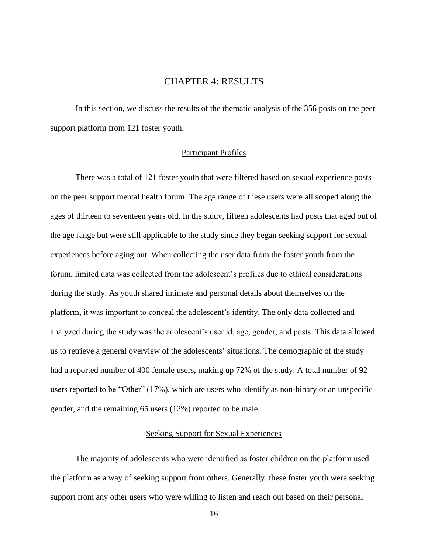# CHAPTER 4: RESULTS

<span id="page-22-0"></span>In this section, we discuss the results of the thematic analysis of the 356 posts on the peer support platform from 121 foster youth.

#### Participant Profiles

<span id="page-22-1"></span>There was a total of 121 foster youth that were filtered based on sexual experience posts on the peer support mental health forum. The age range of these users were all scoped along the ages of thirteen to seventeen years old. In the study, fifteen adolescents had posts that aged out of the age range but were still applicable to the study since they began seeking support for sexual experiences before aging out. When collecting the user data from the foster youth from the forum, limited data was collected from the adolescent's profiles due to ethical considerations during the study. As youth shared intimate and personal details about themselves on the platform, it was important to conceal the adolescent's identity. The only data collected and analyzed during the study was the adolescent's user id, age, gender, and posts. This data allowed us to retrieve a general overview of the adolescents' situations. The demographic of the study had a reported number of 400 female users, making up 72% of the study. A total number of 92 users reported to be "Other" (17%), which are users who identify as non-binary or an unspecific gender, and the remaining 65 users (12%) reported to be male.

#### Seeking Support for Sexual Experiences

<span id="page-22-2"></span>The majority of adolescents who were identified as foster children on the platform used the platform as a way of seeking support from others. Generally, these foster youth were seeking support from any other users who were willing to listen and reach out based on their personal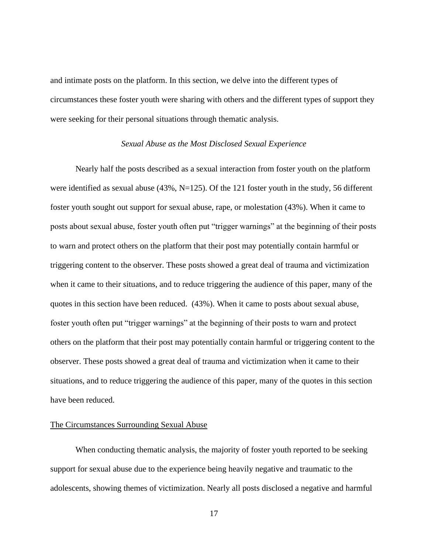and intimate posts on the platform. In this section, we delve into the different types of circumstances these foster youth were sharing with others and the different types of support they were seeking for their personal situations through thematic analysis.

#### *Sexual Abuse as the Most Disclosed Sexual Experience*

<span id="page-23-0"></span>Nearly half the posts described as a sexual interaction from foster youth on the platform were identified as sexual abuse (43%, N=125). Of the 121 foster youth in the study, 56 different foster youth sought out support for sexual abuse, rape, or molestation (43%). When it came to posts about sexual abuse, foster youth often put "trigger warnings" at the beginning of their posts to warn and protect others on the platform that their post may potentially contain harmful or triggering content to the observer. These posts showed a great deal of trauma and victimization when it came to their situations, and to reduce triggering the audience of this paper, many of the quotes in this section have been reduced. (43%). When it came to posts about sexual abuse, foster youth often put "trigger warnings" at the beginning of their posts to warn and protect others on the platform that their post may potentially contain harmful or triggering content to the observer. These posts showed a great deal of trauma and victimization when it came to their situations, and to reduce triggering the audience of this paper, many of the quotes in this section have been reduced.

#### The Circumstances Surrounding Sexual Abuse

When conducting thematic analysis, the majority of foster youth reported to be seeking support for sexual abuse due to the experience being heavily negative and traumatic to the adolescents, showing themes of victimization. Nearly all posts disclosed a negative and harmful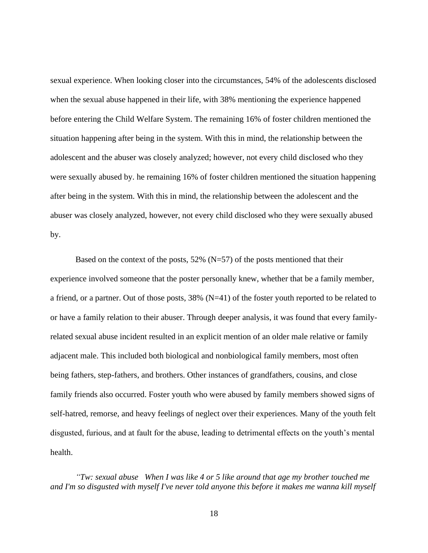sexual experience. When looking closer into the circumstances, 54% of the adolescents disclosed when the sexual abuse happened in their life, with 38% mentioning the experience happened before entering the Child Welfare System. The remaining 16% of foster children mentioned the situation happening after being in the system. With this in mind, the relationship between the adolescent and the abuser was closely analyzed; however, not every child disclosed who they were sexually abused by. he remaining 16% of foster children mentioned the situation happening after being in the system. With this in mind, the relationship between the adolescent and the abuser was closely analyzed, however, not every child disclosed who they were sexually abused by.

Based on the context of the posts,  $52\%$  (N=57) of the posts mentioned that their experience involved someone that the poster personally knew, whether that be a family member, a friend, or a partner. Out of those posts, 38% (N=41) of the foster youth reported to be related to or have a family relation to their abuser. Through deeper analysis, it was found that every familyrelated sexual abuse incident resulted in an explicit mention of an older male relative or family adjacent male. This included both biological and nonbiological family members, most often being fathers, step-fathers, and brothers. Other instances of grandfathers, cousins, and close family friends also occurred. Foster youth who were abused by family members showed signs of self-hatred, remorse, and heavy feelings of neglect over their experiences. Many of the youth felt disgusted, furious, and at fault for the abuse, leading to detrimental effects on the youth's mental health.

*"Tw: sexual abuse When I was like 4 or 5 like around that age my brother touched me and I'm so disgusted with myself I've never told anyone this before it makes me wanna kill myself*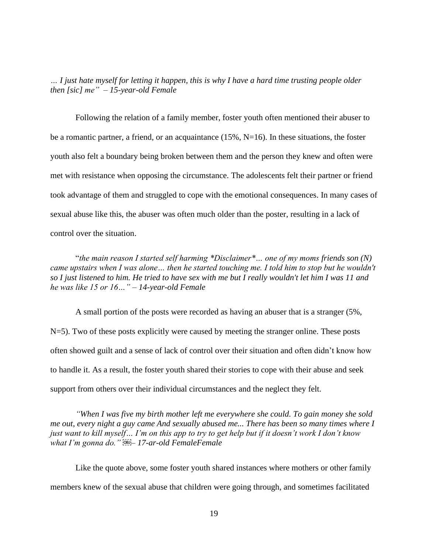*… I just hate myself for letting it happen, this is why I have a hard time trusting people older then [sic] me" – 15-year-old Female*

Following the relation of a family member, foster youth often mentioned their abuser to be a romantic partner, a friend, or an acquaintance (15%, N=16). In these situations, the foster youth also felt a boundary being broken between them and the person they knew and often were met with resistance when opposing the circumstance. The adolescents felt their partner or friend took advantage of them and struggled to cope with the emotional consequences. In many cases of sexual abuse like this, the abuser was often much older than the poster, resulting in a lack of control over the situation.

"*the main reason I started self harming \*Disclaimer\*… one of my moms friends son (N) came upstairs when I was alone… then he started touching me. I told him to stop but he wouldn't so I just listened to him. He tried to have sex with me but I really wouldn't let him I was 11 and he was like 15 or 16…" – 14-year-old Female*

A small portion of the posts were recorded as having an abuser that is a stranger (5%, N=5). Two of these posts explicitly were caused by meeting the stranger online. These posts often showed guilt and a sense of lack of control over their situation and often didn't know how to handle it. As a result, the foster youth shared their stories to cope with their abuse and seek support from others over their individual circumstances and the neglect they felt.

*"When I was five my birth mother left me everywhere she could. To gain money she sold me out, every night a guy came And sexually abused me... There has been so many times where I just want to kill myself… I'm on this app to try to get help but if it doesn't work I don't know what I'm gonna do." – 17-ar-old FemaleFemale*

Like the quote above, some foster youth shared instances where mothers or other family members knew of the sexual abuse that children were going through, and sometimes facilitated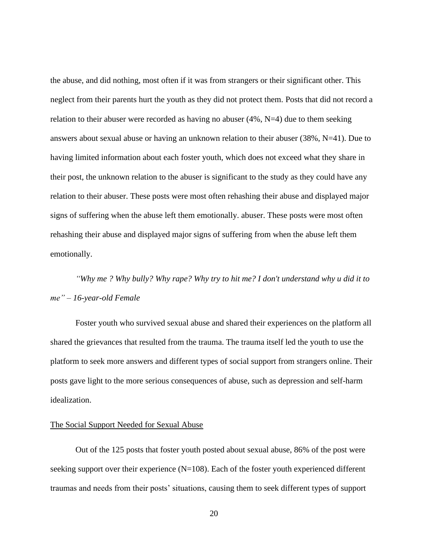the abuse, and did nothing, most often if it was from strangers or their significant other. This neglect from their parents hurt the youth as they did not protect them. Posts that did not record a relation to their abuser were recorded as having no abuser  $(4\%, N=4)$  due to them seeking answers about sexual abuse or having an unknown relation to their abuser (38%, N=41). Due to having limited information about each foster youth, which does not exceed what they share in their post, the unknown relation to the abuser is significant to the study as they could have any relation to their abuser. These posts were most often rehashing their abuse and displayed major signs of suffering when the abuse left them emotionally. abuser. These posts were most often rehashing their abuse and displayed major signs of suffering from when the abuse left them emotionally.

*"Why me ? Why bully? Why rape? Why try to hit me? I don't understand why u did it to me" – 16-year-old Female*

Foster youth who survived sexual abuse and shared their experiences on the platform all shared the grievances that resulted from the trauma. The trauma itself led the youth to use the platform to seek more answers and different types of social support from strangers online. Their posts gave light to the more serious consequences of abuse, such as depression and self-harm idealization.

#### The Social Support Needed for Sexual Abuse

Out of the 125 posts that foster youth posted about sexual abuse, 86% of the post were seeking support over their experience  $(N=108)$ . Each of the foster youth experienced different traumas and needs from their posts' situations, causing them to seek different types of support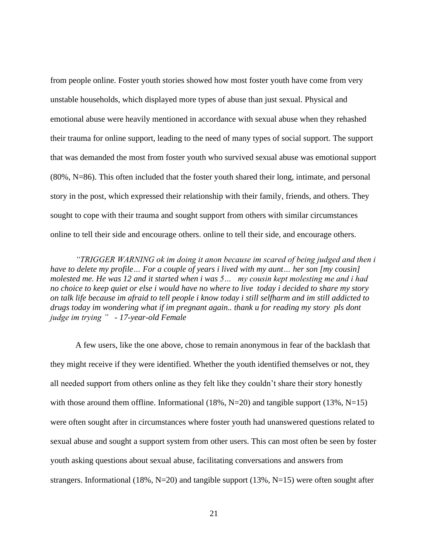from people online. Foster youth stories showed how most foster youth have come from very unstable households, which displayed more types of abuse than just sexual. Physical and emotional abuse were heavily mentioned in accordance with sexual abuse when they rehashed their trauma for online support, leading to the need of many types of social support. The support that was demanded the most from foster youth who survived sexual abuse was emotional support (80%, N=86). This often included that the foster youth shared their long, intimate, and personal story in the post, which expressed their relationship with their family, friends, and others. They sought to cope with their trauma and sought support from others with similar circumstances online to tell their side and encourage others. online to tell their side, and encourage others.

*"TRIGGER WARNING ok im doing it anon because im scared of being judged and then i have to delete my profile… For a couple of years i lived with my aunt… her son [my cousin] molested me. He was 12 and it started when i was 5… my cousin kept molesting me and i had no choice to keep quiet or else i would have no where to live today i decided to share my story on talk life because im afraid to tell people i know today i still selfharm and im still addicted to drugs today im wondering what if im pregnant again.. thank u for reading my story pls dont judge im trying " - 17-year-old Female*

A few users, like the one above, chose to remain anonymous in fear of the backlash that they might receive if they were identified. Whether the youth identified themselves or not, they all needed support from others online as they felt like they couldn't share their story honestly with those around them offline. Informational  $(18\%, N=20)$  and tangible support  $(13\%, N=15)$ were often sought after in circumstances where foster youth had unanswered questions related to sexual abuse and sought a support system from other users. This can most often be seen by foster youth asking questions about sexual abuse, facilitating conversations and answers from strangers. Informational (18%, N=20) and tangible support (13%, N=15) were often sought after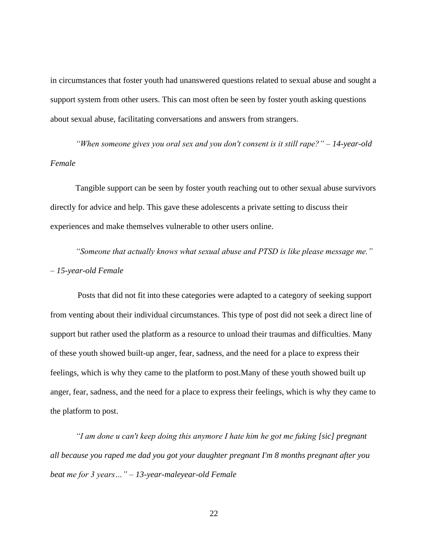in circumstances that foster youth had unanswered questions related to sexual abuse and sought a support system from other users. This can most often be seen by foster youth asking questions about sexual abuse, facilitating conversations and answers from strangers.

*"When someone gives you oral sex and you don't consent is it still rape?" – 14-year-old Female*

Tangible support can be seen by foster youth reaching out to other sexual abuse survivors directly for advice and help. This gave these adolescents a private setting to discuss their experiences and make themselves vulnerable to other users online.

*"Someone that actually knows what sexual abuse and PTSD is like please message me." – 15-year-old Female*

Posts that did not fit into these categories were adapted to a category of seeking support from venting about their individual circumstances. This type of post did not seek a direct line of support but rather used the platform as a resource to unload their traumas and difficulties. Many of these youth showed built-up anger, fear, sadness, and the need for a place to express their feelings, which is why they came to the platform to post.Many of these youth showed built up anger, fear, sadness, and the need for a place to express their feelings, which is why they came to the platform to post.

*"I am done u can't keep doing this anymore I hate him he got me fuking [sic] pregnant all because you raped me dad you got your daughter pregnant I'm 8 months pregnant after you beat me for 3 years…" – 13-year-maleyear-old Female*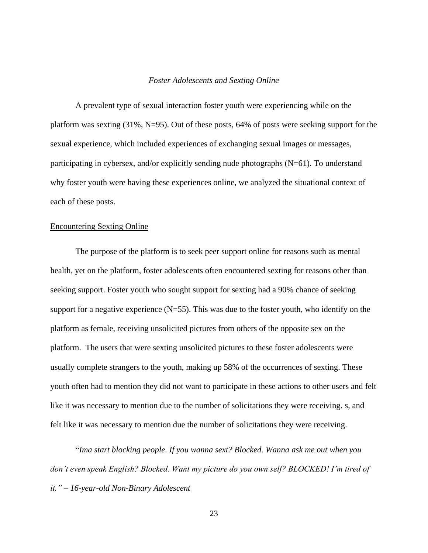#### *Foster Adolescents and Sexting Online*

<span id="page-29-0"></span>A prevalent type of sexual interaction foster youth were experiencing while on the platform was sexting (31%, N=95). Out of these posts, 64% of posts were seeking support for the sexual experience, which included experiences of exchanging sexual images or messages, participating in cybersex, and/or explicitly sending nude photographs (N=61). To understand why foster youth were having these experiences online, we analyzed the situational context of each of these posts.

#### Encountering Sexting Online

The purpose of the platform is to seek peer support online for reasons such as mental health, yet on the platform, foster adolescents often encountered sexting for reasons other than seeking support. Foster youth who sought support for sexting had a 90% chance of seeking support for a negative experience  $(N=55)$ . This was due to the foster youth, who identify on the platform as female, receiving unsolicited pictures from others of the opposite sex on the platform. The users that were sexting unsolicited pictures to these foster adolescents were usually complete strangers to the youth, making up 58% of the occurrences of sexting. These youth often had to mention they did not want to participate in these actions to other users and felt like it was necessary to mention due to the number of solicitations they were receiving. s, and felt like it was necessary to mention due the number of solicitations they were receiving.

"*Ima start blocking people. If you wanna sext? Blocked. Wanna ask me out when you don't even speak English? Blocked. Want my picture do you own self? BLOCKED! I'm tired of it." – 16-year-old Non-Binary Adolescent*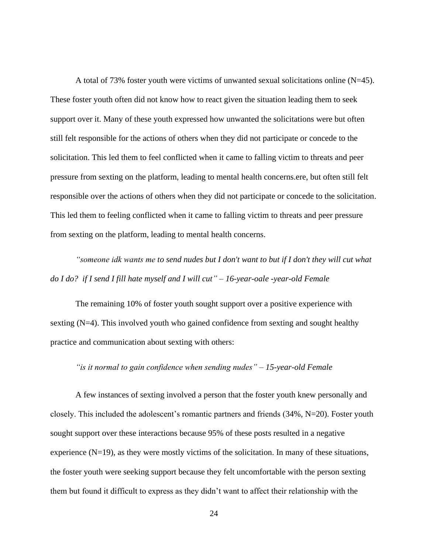A total of 73% foster youth were victims of unwanted sexual solicitations online (N=45). These foster youth often did not know how to react given the situation leading them to seek support over it. Many of these youth expressed how unwanted the solicitations were but often still felt responsible for the actions of others when they did not participate or concede to the solicitation. This led them to feel conflicted when it came to falling victim to threats and peer pressure from sexting on the platform, leading to mental health concerns.ere, but often still felt responsible over the actions of others when they did not participate or concede to the solicitation. This led them to feeling conflicted when it came to falling victim to threats and peer pressure from sexting on the platform, leading to mental health concerns.

*"someone idk wants me to send nudes but I don't want to but if I don't they will cut what do I do? if I send I fill hate myself and I will cut" – 16-year-oale -year-old Female*

The remaining 10% of foster youth sought support over a positive experience with sexting (N=4). This involved youth who gained confidence from sexting and sought healthy practice and communication about sexting with others:

*"is it normal to gain confidence when sending nudes" – 15-year-old Female*

A few instances of sexting involved a person that the foster youth knew personally and closely. This included the adolescent's romantic partners and friends (34%, N=20). Foster youth sought support over these interactions because 95% of these posts resulted in a negative experience  $(N=19)$ , as they were mostly victims of the solicitation. In many of these situations, the foster youth were seeking support because they felt uncomfortable with the person sexting them but found it difficult to express as they didn't want to affect their relationship with the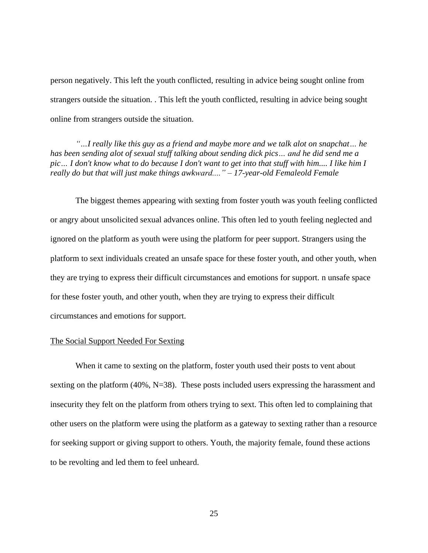person negatively. This left the youth conflicted, resulting in advice being sought online from strangers outside the situation. . This left the youth conflicted, resulting in advice being sought online from strangers outside the situation.

*"…I really like this guy as a friend and maybe more and we talk alot on snapchat… he has been sending alot of sexual stuff talking about sending dick pics… and he did send me a*  pic... I don't know what to do because I don't want to get into that stuff with him.... I like him I *really do but that will just make things awkward...." – 17-year-old Femaleold Female*

The biggest themes appearing with sexting from foster youth was youth feeling conflicted or angry about unsolicited sexual advances online. This often led to youth feeling neglected and ignored on the platform as youth were using the platform for peer support. Strangers using the platform to sext individuals created an unsafe space for these foster youth, and other youth, when they are trying to express their difficult circumstances and emotions for support. n unsafe space for these foster youth, and other youth, when they are trying to express their difficult circumstances and emotions for support.

#### The Social Support Needed For Sexting

When it came to sexting on the platform, foster youth used their posts to vent about sexting on the platform (40%, N=38). These posts included users expressing the harassment and insecurity they felt on the platform from others trying to sext. This often led to complaining that other users on the platform were using the platform as a gateway to sexting rather than a resource for seeking support or giving support to others. Youth, the majority female, found these actions to be revolting and led them to feel unheard.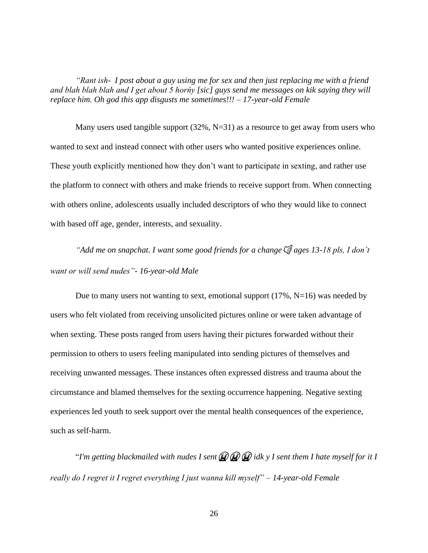*"Rant ish- I post about a guy using me for sex and then just replacing me with a friend and blah blah blah and I get about 5 horńy [sic] guys send me messages on kik saying they will replace him. Oh god this app disgusts me sometimes!!! – 17-year-old Female*

Many users used tangible support  $(32\%, N=31)$  as a resource to get away from users who wanted to sext and instead connect with other users who wanted positive experiences online. These youth explicitly mentioned how they don't want to participate in sexting, and rather use the platform to connect with others and make friends to receive support from. When connecting with others online, adolescents usually included descriptors of who they would like to connect with based off age, gender, interests, and sexuality.

*"Add me on snapchat. I want some good friends for a change*  $\mathcal{F}$  ages 13-18 pls, I don't *want or will send nudes"- 16-year-old Male*

Due to many users not wanting to sext, emotional support (17%, N=16) was needed by users who felt violated from receiving unsolicited pictures online or were taken advantage of when sexting. These posts ranged from users having their pictures forwarded without their permission to others to users feeling manipulated into sending pictures of themselves and receiving unwanted messages. These instances often expressed distress and trauma about the circumstance and blamed themselves for the sexting occurrence happening. Negative sexting experiences led youth to seek support over the mental health consequences of the experience, such as self-harm.

"*I'm getting blackmailed with nudes I sent idk y I sent them I hate myself for it I really do I regret it I regret everything I just wanna kill myself" – 14-year-old Female*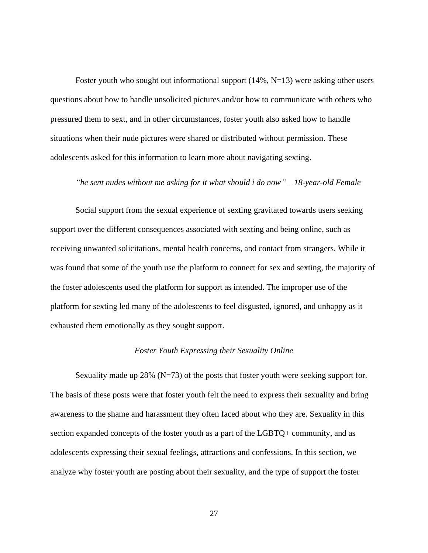Foster youth who sought out informational support (14%, N=13) were asking other users questions about how to handle unsolicited pictures and/or how to communicate with others who pressured them to sext, and in other circumstances, foster youth also asked how to handle situations when their nude pictures were shared or distributed without permission. These adolescents asked for this information to learn more about navigating sexting.

#### *"he sent nudes without me asking for it what should i do now" – 18-year-old Female*

Social support from the sexual experience of sexting gravitated towards users seeking support over the different consequences associated with sexting and being online, such as receiving unwanted solicitations, mental health concerns, and contact from strangers. While it was found that some of the youth use the platform to connect for sex and sexting, the majority of the foster adolescents used the platform for support as intended. The improper use of the platform for sexting led many of the adolescents to feel disgusted, ignored, and unhappy as it exhausted them emotionally as they sought support.

#### *Foster Youth Expressing their Sexuality Online*

<span id="page-33-0"></span>Sexuality made up 28% ( $N=73$ ) of the posts that foster youth were seeking support for. The basis of these posts were that foster youth felt the need to express their sexuality and bring awareness to the shame and harassment they often faced about who they are. Sexuality in this section expanded concepts of the foster youth as a part of the LGBTQ+ community, and as adolescents expressing their sexual feelings, attractions and confessions. In this section, we analyze why foster youth are posting about their sexuality, and the type of support the foster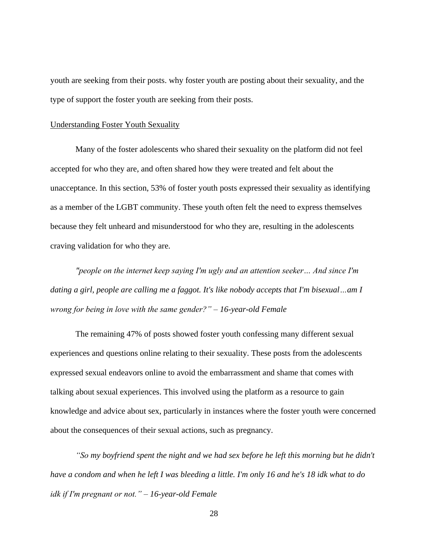youth are seeking from their posts. why foster youth are posting about their sexuality, and the type of support the foster youth are seeking from their posts.

#### Understanding Foster Youth Sexuality

Many of the foster adolescents who shared their sexuality on the platform did not feel accepted for who they are, and often shared how they were treated and felt about the unacceptance. In this section, 53% of foster youth posts expressed their sexuality as identifying as a member of the LGBT community. These youth often felt the need to express themselves because they felt unheard and misunderstood for who they are, resulting in the adolescents craving validation for who they are.

*"people on the internet keep saying I'm ugly and an attention seeker… And since I'm dating a girl, people are calling me a faggot. It's like nobody accepts that I'm bisexual…am I wrong for being in love with the same gender?" – 16-year-old Female*

The remaining 47% of posts showed foster youth confessing many different sexual experiences and questions online relating to their sexuality. These posts from the adolescents expressed sexual endeavors online to avoid the embarrassment and shame that comes with talking about sexual experiences. This involved using the platform as a resource to gain knowledge and advice about sex, particularly in instances where the foster youth were concerned about the consequences of their sexual actions, such as pregnancy.

*"So my boyfriend spent the night and we had sex before he left this morning but he didn't have a condom and when he left I was bleeding a little. I'm only 16 and he's 18 idk what to do idk if I'm pregnant or not." – 16-year-old Female*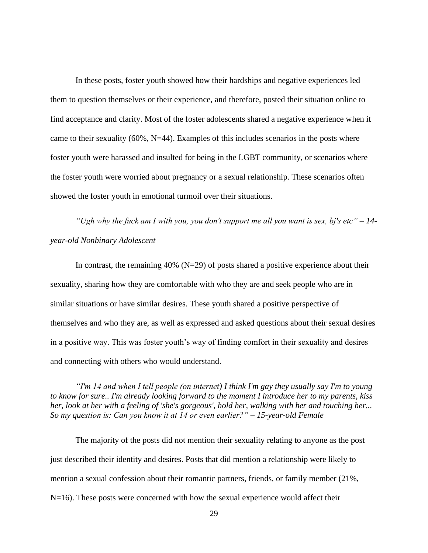In these posts, foster youth showed how their hardships and negative experiences led them to question themselves or their experience, and therefore, posted their situation online to find acceptance and clarity. Most of the foster adolescents shared a negative experience when it came to their sexuality  $(60\%, N=44)$ . Examples of this includes scenarios in the posts where foster youth were harassed and insulted for being in the LGBT community, or scenarios where the foster youth were worried about pregnancy or a sexual relationship. These scenarios often showed the foster youth in emotional turmoil over their situations.

*"Ugh why the fuck am I with you, you don't support me all you want is sex, bj's etc" – 14 year-old Nonbinary Adolescent*

In contrast, the remaining 40% ( $N=29$ ) of posts shared a positive experience about their sexuality, sharing how they are comfortable with who they are and seek people who are in similar situations or have similar desires. These youth shared a positive perspective of themselves and who they are, as well as expressed and asked questions about their sexual desires in a positive way. This was foster youth's way of finding comfort in their sexuality and desires and connecting with others who would understand.

*"I'm 14 and when I tell people (on internet) I think I'm gay they usually say I'm to young to know for sure.. I'm already looking forward to the moment I introduce her to my parents, kiss her, look at her with a feeling of 'she's gorgeous', hold her, walking with her and touching her... So my question is: Can you know it at 14 or even earlier?" – 15-year-old Female*

The majority of the posts did not mention their sexuality relating to anyone as the post just described their identity and desires. Posts that did mention a relationship were likely to mention a sexual confession about their romantic partners, friends, or family member (21%, N=16). These posts were concerned with how the sexual experience would affect their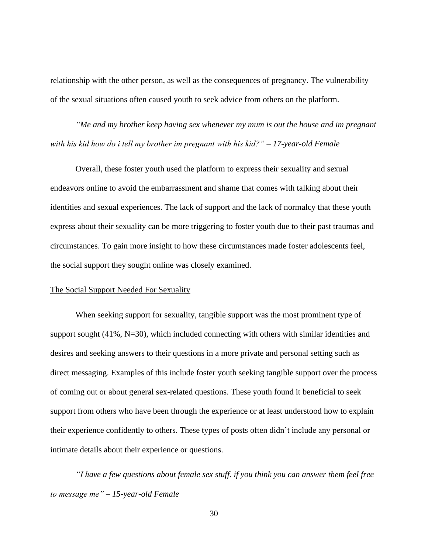relationship with the other person, as well as the consequences of pregnancy. The vulnerability of the sexual situations often caused youth to seek advice from others on the platform.

*"Me and my brother keep having sex whenever my mum is out the house and im pregnant with his kid how do i tell my brother im pregnant with his kid?" – 17-year-old Female*

Overall, these foster youth used the platform to express their sexuality and sexual endeavors online to avoid the embarrassment and shame that comes with talking about their identities and sexual experiences. The lack of support and the lack of normalcy that these youth express about their sexuality can be more triggering to foster youth due to their past traumas and circumstances. To gain more insight to how these circumstances made foster adolescents feel, the social support they sought online was closely examined.

#### The Social Support Needed For Sexuality

When seeking support for sexuality, tangible support was the most prominent type of support sought (41%, N=30), which included connecting with others with similar identities and desires and seeking answers to their questions in a more private and personal setting such as direct messaging. Examples of this include foster youth seeking tangible support over the process of coming out or about general sex-related questions. These youth found it beneficial to seek support from others who have been through the experience or at least understood how to explain their experience confidently to others. These types of posts often didn't include any personal or intimate details about their experience or questions.

*"I have a few questions about female sex stuff. if you think you can answer them feel free to message me" – 15-year-old Female*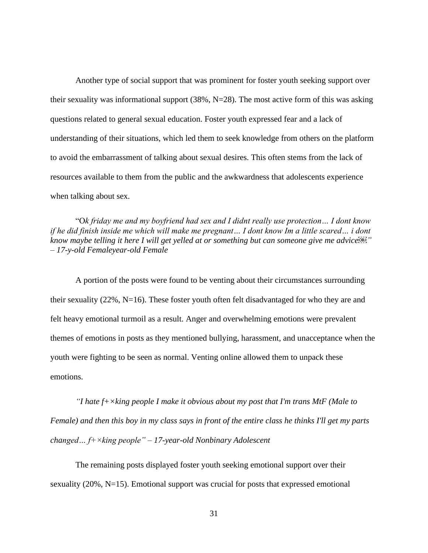Another type of social support that was prominent for foster youth seeking support over their sexuality was informational support (38%, N=28). The most active form of this was asking questions related to general sexual education. Foster youth expressed fear and a lack of understanding of their situations, which led them to seek knowledge from others on the platform to avoid the embarrassment of talking about sexual desires. This often stems from the lack of resources available to them from the public and the awkwardness that adolescents experience when talking about sex.

"O*k friday me and my boyfriend had sex and I didnt really use protection… I dont know if he did finish inside me which will make me pregnant… I dont know Im a little scared… i dont know maybe telling it here I will get yelled at or something but can someone give me advice<sup>[98]</sup> – 17-y-old Femaleyear-old Female*

A portion of the posts were found to be venting about their circumstances surrounding their sexuality (22%, N=16). These foster youth often felt disadvantaged for who they are and felt heavy emotional turmoil as a result. Anger and overwhelming emotions were prevalent themes of emotions in posts as they mentioned bullying, harassment, and unacceptance when the youth were fighting to be seen as normal. Venting online allowed them to unpack these emotions.

*"I hate f+×king people I make it obvious about my post that I'm trans MtF (Male to Female) and then this boy in my class says in front of the entire class he thinks I'll get my parts changed… f+×king people" – 17-year-old Nonbinary Adolescent*

The remaining posts displayed foster youth seeking emotional support over their sexuality (20%, N=15). Emotional support was crucial for posts that expressed emotional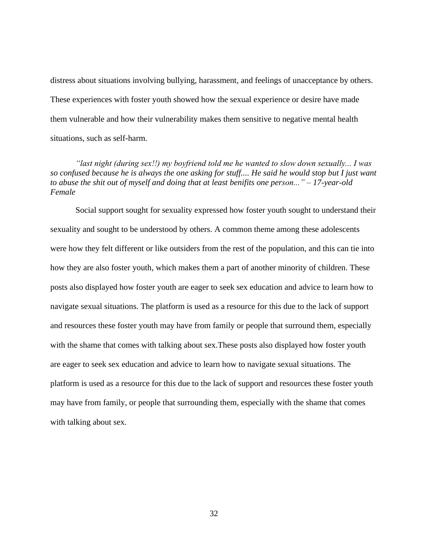distress about situations involving bullying, harassment, and feelings of unacceptance by others. These experiences with foster youth showed how the sexual experience or desire have made them vulnerable and how their vulnerability makes them sensitive to negative mental health situations, such as self-harm.

*"last night (during sex!!) my boyfriend told me he wanted to slow down sexually... I was so confused because he is always the one asking for stuff.... He said he would stop but I just want to abuse the shit out of myself and doing that at least benifits one person..." – 17-year-old Female*

Social support sought for sexuality expressed how foster youth sought to understand their sexuality and sought to be understood by others. A common theme among these adolescents were how they felt different or like outsiders from the rest of the population, and this can tie into how they are also foster youth, which makes them a part of another minority of children. These posts also displayed how foster youth are eager to seek sex education and advice to learn how to navigate sexual situations. The platform is used as a resource for this due to the lack of support and resources these foster youth may have from family or people that surround them, especially with the shame that comes with talking about sex.These posts also displayed how foster youth are eager to seek sex education and advice to learn how to navigate sexual situations. The platform is used as a resource for this due to the lack of support and resources these foster youth may have from family, or people that surrounding them, especially with the shame that comes with talking about sex.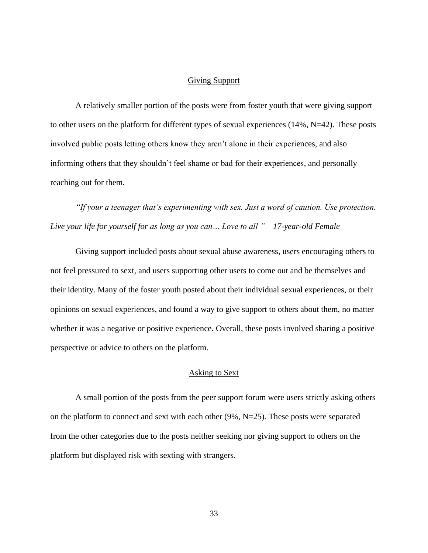#### Giving Support

<span id="page-39-0"></span>A relatively smaller portion of the posts were from foster youth that were giving support to other users on the platform for different types of sexual experiences (14%, N=42). These posts involved public posts letting others know they aren't alone in their experiences, and also informing others that they shouldn't feel shame or bad for their experiences, and personally reaching out for them.

*"If your a teenager that's experimenting with sex. Just a word of caution. Use protection. Live your life for yourself for as long as you can… Love to all " – 17-year-old Female*

Giving support included posts about sexual abuse awareness, users encouraging others to not feel pressured to sext, and users supporting other users to come out and be themselves and their identity. Many of the foster youth posted about their individual sexual experiences, or their opinions on sexual experiences, and found a way to give support to others about them, no matter whether it was a negative or positive experience. Overall, these posts involved sharing a positive perspective or advice to others on the platform.

#### Asking to Sext

<span id="page-39-1"></span>A small portion of the posts from the peer support forum were users strictly asking others on the platform to connect and sext with each other (9%, N=25). These posts were separated from the other categories due to the posts neither seeking nor giving support to others on the platform but displayed risk with sexting with strangers.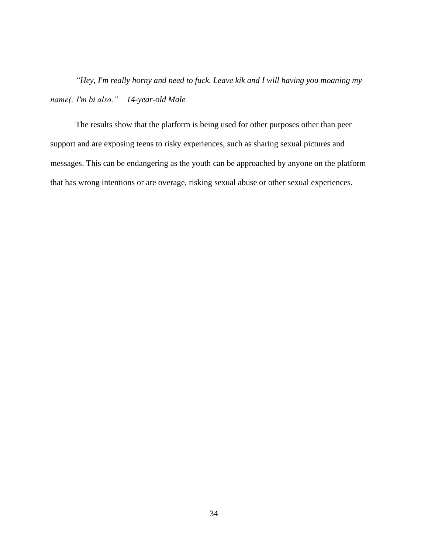*"Hey, I'm really horny and need to fuck. Leave kik and I will having you moaning my name(; I'm bi also." – 14-year-old Male*

The results show that the platform is being used for other purposes other than peer support and are exposing teens to risky experiences, such as sharing sexual pictures and messages. This can be endangering as the youth can be approached by anyone on the platform that has wrong intentions or are overage, risking sexual abuse or other sexual experiences.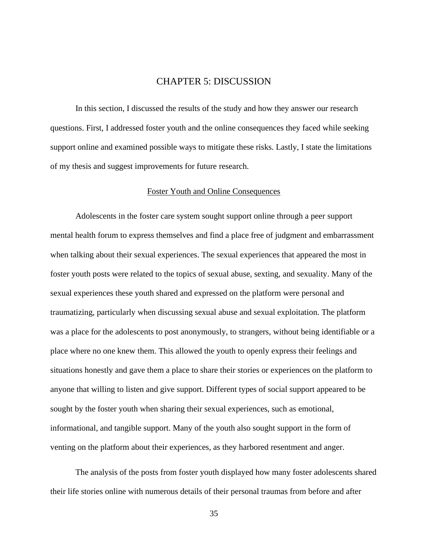## CHAPTER 5: DISCUSSION

<span id="page-41-0"></span>In this section, I discussed the results of the study and how they answer our research questions. First, I addressed foster youth and the online consequences they faced while seeking support online and examined possible ways to mitigate these risks. Lastly, I state the limitations of my thesis and suggest improvements for future research.

#### Foster Youth and Online Consequences

<span id="page-41-1"></span>Adolescents in the foster care system sought support online through a peer support mental health forum to express themselves and find a place free of judgment and embarrassment when talking about their sexual experiences. The sexual experiences that appeared the most in foster youth posts were related to the topics of sexual abuse, sexting, and sexuality. Many of the sexual experiences these youth shared and expressed on the platform were personal and traumatizing, particularly when discussing sexual abuse and sexual exploitation. The platform was a place for the adolescents to post anonymously, to strangers, without being identifiable or a place where no one knew them. This allowed the youth to openly express their feelings and situations honestly and gave them a place to share their stories or experiences on the platform to anyone that willing to listen and give support. Different types of social support appeared to be sought by the foster youth when sharing their sexual experiences, such as emotional, informational, and tangible support. Many of the youth also sought support in the form of venting on the platform about their experiences, as they harbored resentment and anger.

The analysis of the posts from foster youth displayed how many foster adolescents shared their life stories online with numerous details of their personal traumas from before and after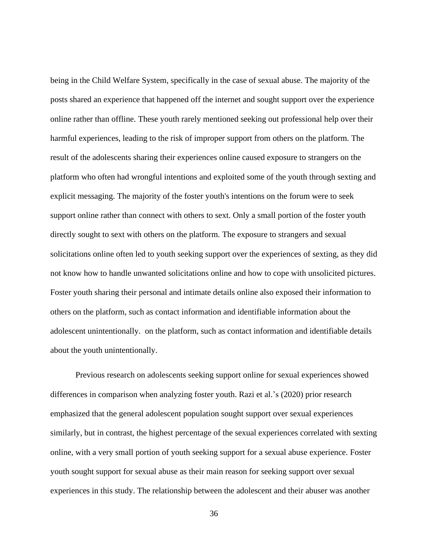being in the Child Welfare System, specifically in the case of sexual abuse. The majority of the posts shared an experience that happened off the internet and sought support over the experience online rather than offline. These youth rarely mentioned seeking out professional help over their harmful experiences, leading to the risk of improper support from others on the platform. The result of the adolescents sharing their experiences online caused exposure to strangers on the platform who often had wrongful intentions and exploited some of the youth through sexting and explicit messaging. The majority of the foster youth's intentions on the forum were to seek support online rather than connect with others to sext. Only a small portion of the foster youth directly sought to sext with others on the platform. The exposure to strangers and sexual solicitations online often led to youth seeking support over the experiences of sexting, as they did not know how to handle unwanted solicitations online and how to cope with unsolicited pictures. Foster youth sharing their personal and intimate details online also exposed their information to others on the platform, such as contact information and identifiable information about the adolescent unintentionally. on the platform, such as contact information and identifiable details about the youth unintentionally.

Previous research on adolescents seeking support online for sexual experiences showed differences in comparison when analyzing foster youth. Razi et al.'s (2020) prior research emphasized that the general adolescent population sought support over sexual experiences similarly, but in contrast, the highest percentage of the sexual experiences correlated with sexting online, with a very small portion of youth seeking support for a sexual abuse experience. Foster youth sought support for sexual abuse as their main reason for seeking support over sexual experiences in this study. The relationship between the adolescent and their abuser was another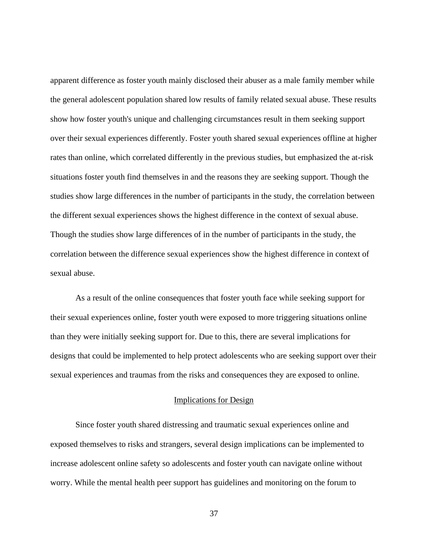apparent difference as foster youth mainly disclosed their abuser as a male family member while the general adolescent population shared low results of family related sexual abuse. These results show how foster youth's unique and challenging circumstances result in them seeking support over their sexual experiences differently. Foster youth shared sexual experiences offline at higher rates than online, which correlated differently in the previous studies, but emphasized the at-risk situations foster youth find themselves in and the reasons they are seeking support. Though the studies show large differences in the number of participants in the study, the correlation between the different sexual experiences shows the highest difference in the context of sexual abuse. Though the studies show large differences of in the number of participants in the study, the correlation between the difference sexual experiences show the highest difference in context of sexual abuse.

As a result of the online consequences that foster youth face while seeking support for their sexual experiences online, foster youth were exposed to more triggering situations online than they were initially seeking support for. Due to this, there are several implications for designs that could be implemented to help protect adolescents who are seeking support over their sexual experiences and traumas from the risks and consequences they are exposed to online.

#### Implications for Design

<span id="page-43-0"></span>Since foster youth shared distressing and traumatic sexual experiences online and exposed themselves to risks and strangers, several design implications can be implemented to increase adolescent online safety so adolescents and foster youth can navigate online without worry. While the mental health peer support has guidelines and monitoring on the forum to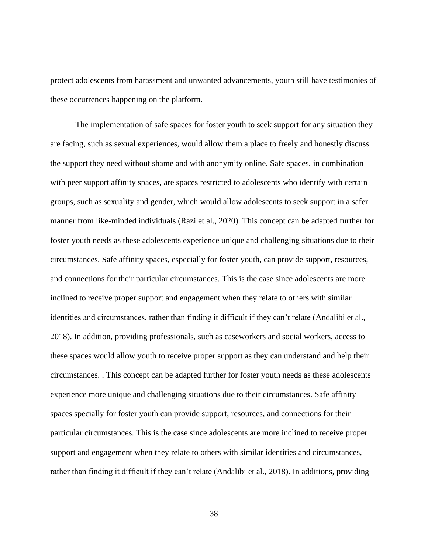protect adolescents from harassment and unwanted advancements, youth still have testimonies of these occurrences happening on the platform.

The implementation of safe spaces for foster youth to seek support for any situation they are facing, such as sexual experiences, would allow them a place to freely and honestly discuss the support they need without shame and with anonymity online. Safe spaces, in combination with peer support affinity spaces, are spaces restricted to adolescents who identify with certain groups, such as sexuality and gender, which would allow adolescents to seek support in a safer manner from like-minded individuals (Razi et al., 2020). This concept can be adapted further for foster youth needs as these adolescents experience unique and challenging situations due to their circumstances. Safe affinity spaces, especially for foster youth, can provide support, resources, and connections for their particular circumstances. This is the case since adolescents are more inclined to receive proper support and engagement when they relate to others with similar identities and circumstances, rather than finding it difficult if they can't relate (Andalibi et al., 2018). In addition, providing professionals, such as caseworkers and social workers, access to these spaces would allow youth to receive proper support as they can understand and help their circumstances. . This concept can be adapted further for foster youth needs as these adolescents experience more unique and challenging situations due to their circumstances. Safe affinity spaces specially for foster youth can provide support, resources, and connections for their particular circumstances. This is the case since adolescents are more inclined to receive proper support and engagement when they relate to others with similar identities and circumstances, rather than finding it difficult if they can't relate (Andalibi et al., 2018). In additions, providing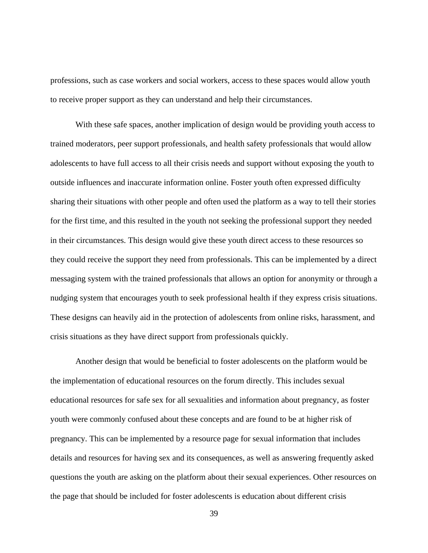professions, such as case workers and social workers, access to these spaces would allow youth to receive proper support as they can understand and help their circumstances.

With these safe spaces, another implication of design would be providing youth access to trained moderators, peer support professionals, and health safety professionals that would allow adolescents to have full access to all their crisis needs and support without exposing the youth to outside influences and inaccurate information online. Foster youth often expressed difficulty sharing their situations with other people and often used the platform as a way to tell their stories for the first time, and this resulted in the youth not seeking the professional support they needed in their circumstances. This design would give these youth direct access to these resources so they could receive the support they need from professionals. This can be implemented by a direct messaging system with the trained professionals that allows an option for anonymity or through a nudging system that encourages youth to seek professional health if they express crisis situations. These designs can heavily aid in the protection of adolescents from online risks, harassment, and crisis situations as they have direct support from professionals quickly.

Another design that would be beneficial to foster adolescents on the platform would be the implementation of educational resources on the forum directly. This includes sexual educational resources for safe sex for all sexualities and information about pregnancy, as foster youth were commonly confused about these concepts and are found to be at higher risk of pregnancy. This can be implemented by a resource page for sexual information that includes details and resources for having sex and its consequences, as well as answering frequently asked questions the youth are asking on the platform about their sexual experiences. Other resources on the page that should be included for foster adolescents is education about different crisis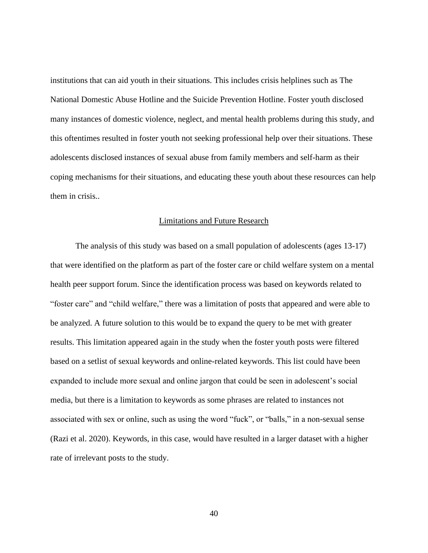institutions that can aid youth in their situations. This includes crisis helplines such as The National Domestic Abuse Hotline and the Suicide Prevention Hotline. Foster youth disclosed many instances of domestic violence, neglect, and mental health problems during this study, and this oftentimes resulted in foster youth not seeking professional help over their situations. These adolescents disclosed instances of sexual abuse from family members and self-harm as their coping mechanisms for their situations, and educating these youth about these resources can help them in crisis..

#### Limitations and Future Research

<span id="page-46-0"></span>The analysis of this study was based on a small population of adolescents (ages 13-17) that were identified on the platform as part of the foster care or child welfare system on a mental health peer support forum. Since the identification process was based on keywords related to "foster care" and "child welfare," there was a limitation of posts that appeared and were able to be analyzed. A future solution to this would be to expand the query to be met with greater results. This limitation appeared again in the study when the foster youth posts were filtered based on a setlist of sexual keywords and online-related keywords. This list could have been expanded to include more sexual and online jargon that could be seen in adolescent's social media, but there is a limitation to keywords as some phrases are related to instances not associated with sex or online, such as using the word "fuck", or "balls," in a non-sexual sense (Razi et al. 2020). Keywords, in this case, would have resulted in a larger dataset with a higher rate of irrelevant posts to the study.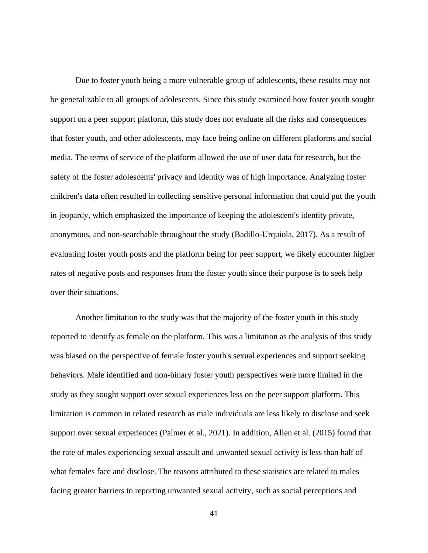Due to foster youth being a more vulnerable group of adolescents, these results may not be generalizable to all groups of adolescents. Since this study examined how foster youth sought support on a peer support platform, this study does not evaluate all the risks and consequences that foster youth, and other adolescents, may face being online on different platforms and social media. The terms of service of the platform allowed the use of user data for research, but the safety of the foster adolescents' privacy and identity was of high importance. Analyzing foster children's data often resulted in collecting sensitive personal information that could put the youth in jeopardy, which emphasized the importance of keeping the adolescent's identity private, anonymous, and non-searchable throughout the study (Badillo-Urquiola, 2017). As a result of evaluating foster youth posts and the platform being for peer support, we likely encounter higher rates of negative posts and responses from the foster youth since their purpose is to seek help over their situations.

Another limitation to the study was that the majority of the foster youth in this study reported to identify as female on the platform. This was a limitation as the analysis of this study was biased on the perspective of female foster youth's sexual experiences and support seeking behaviors. Male identified and non-binary foster youth perspectives were more limited in the study as they sought support over sexual experiences less on the peer support platform. This limitation is common in related research as male individuals are less likely to disclose and seek support over sexual experiences (Palmer et al., 2021). In addition, Allen et al. (2015) found that the rate of males experiencing sexual assault and unwanted sexual activity is less than half of what females face and disclose. The reasons attributed to these statistics are related to males facing greater barriers to reporting unwanted sexual activity, such as social perceptions and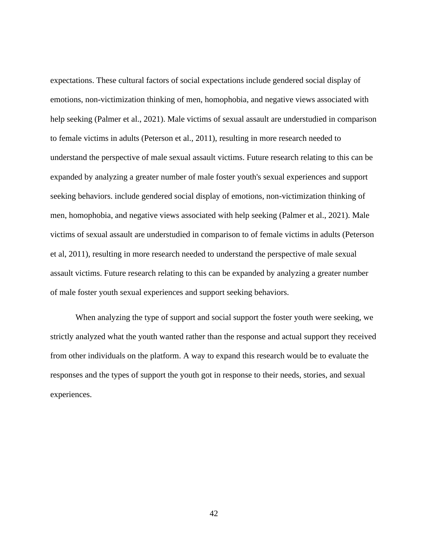expectations. These cultural factors of social expectations include gendered social display of emotions, non-victimization thinking of men, homophobia, and negative views associated with help seeking (Palmer et al., 2021). Male victims of sexual assault are understudied in comparison to female victims in adults (Peterson et al., 2011), resulting in more research needed to understand the perspective of male sexual assault victims. Future research relating to this can be expanded by analyzing a greater number of male foster youth's sexual experiences and support seeking behaviors. include gendered social display of emotions, non-victimization thinking of men, homophobia, and negative views associated with help seeking (Palmer et al., 2021). Male victims of sexual assault are understudied in comparison to of female victims in adults (Peterson et al, 2011), resulting in more research needed to understand the perspective of male sexual assault victims. Future research relating to this can be expanded by analyzing a greater number of male foster youth sexual experiences and support seeking behaviors.

When analyzing the type of support and social support the foster youth were seeking, we strictly analyzed what the youth wanted rather than the response and actual support they received from other individuals on the platform. A way to expand this research would be to evaluate the responses and the types of support the youth got in response to their needs, stories, and sexual experiences.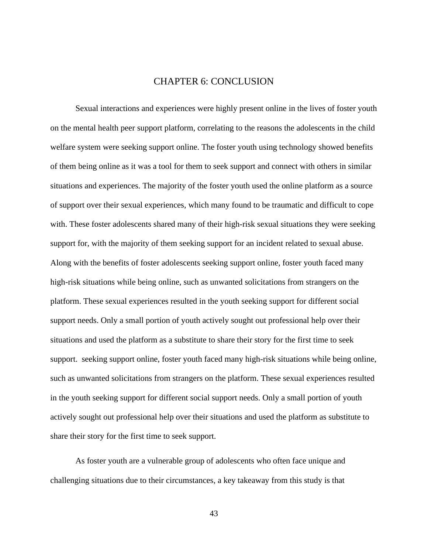# CHAPTER 6: CONCLUSION

<span id="page-49-0"></span>Sexual interactions and experiences were highly present online in the lives of foster youth on the mental health peer support platform, correlating to the reasons the adolescents in the child welfare system were seeking support online. The foster youth using technology showed benefits of them being online as it was a tool for them to seek support and connect with others in similar situations and experiences. The majority of the foster youth used the online platform as a source of support over their sexual experiences, which many found to be traumatic and difficult to cope with. These foster adolescents shared many of their high-risk sexual situations they were seeking support for, with the majority of them seeking support for an incident related to sexual abuse. Along with the benefits of foster adolescents seeking support online, foster youth faced many high-risk situations while being online, such as unwanted solicitations from strangers on the platform. These sexual experiences resulted in the youth seeking support for different social support needs. Only a small portion of youth actively sought out professional help over their situations and used the platform as a substitute to share their story for the first time to seek support. seeking support online, foster youth faced many high-risk situations while being online, such as unwanted solicitations from strangers on the platform. These sexual experiences resulted in the youth seeking support for different social support needs. Only a small portion of youth actively sought out professional help over their situations and used the platform as substitute to share their story for the first time to seek support.

As foster youth are a vulnerable group of adolescents who often face unique and challenging situations due to their circumstances, a key takeaway from this study is that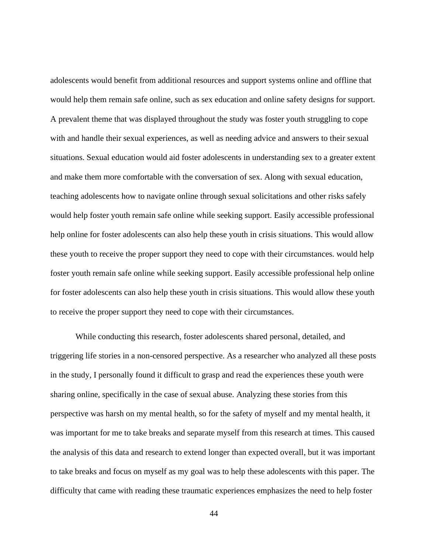adolescents would benefit from additional resources and support systems online and offline that would help them remain safe online, such as sex education and online safety designs for support. A prevalent theme that was displayed throughout the study was foster youth struggling to cope with and handle their sexual experiences, as well as needing advice and answers to their sexual situations. Sexual education would aid foster adolescents in understanding sex to a greater extent and make them more comfortable with the conversation of sex. Along with sexual education, teaching adolescents how to navigate online through sexual solicitations and other risks safely would help foster youth remain safe online while seeking support. Easily accessible professional help online for foster adolescents can also help these youth in crisis situations. This would allow these youth to receive the proper support they need to cope with their circumstances. would help foster youth remain safe online while seeking support. Easily accessible professional help online for foster adolescents can also help these youth in crisis situations. This would allow these youth to receive the proper support they need to cope with their circumstances.

While conducting this research, foster adolescents shared personal, detailed, and triggering life stories in a non-censored perspective. As a researcher who analyzed all these posts in the study, I personally found it difficult to grasp and read the experiences these youth were sharing online, specifically in the case of sexual abuse. Analyzing these stories from this perspective was harsh on my mental health, so for the safety of myself and my mental health, it was important for me to take breaks and separate myself from this research at times. This caused the analysis of this data and research to extend longer than expected overall, but it was important to take breaks and focus on myself as my goal was to help these adolescents with this paper. The difficulty that came with reading these traumatic experiences emphasizes the need to help foster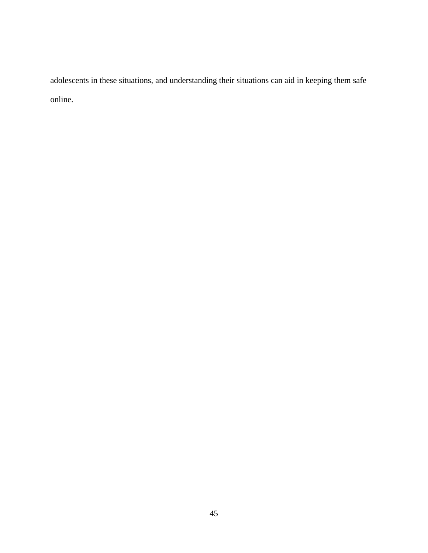adolescents in these situations, and understanding their situations can aid in keeping them safe online.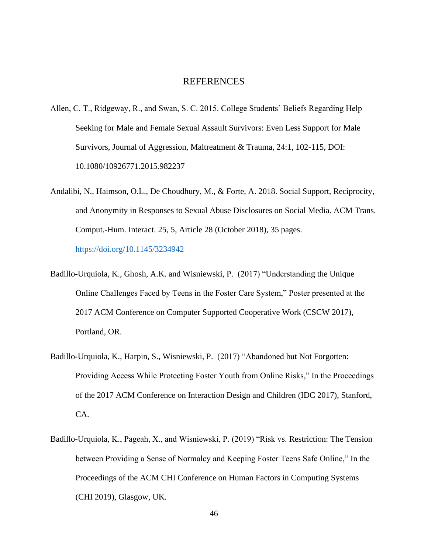#### REFERENCES

- <span id="page-52-0"></span>Allen, C. T., Ridgeway, R., and Swan, S. C. 2015. College Students' Beliefs Regarding Help Seeking for Male and Female Sexual Assault Survivors: Even Less Support for Male Survivors, Journal of Aggression, Maltreatment & Trauma, 24:1, 102-115, DOI: 10.1080/10926771.2015.982237
- Andalibi, N., Haimson, O.L., De Choudhury, M., & Forte, A. 2018. Social Support, Reciprocity, and Anonymity in Responses to Sexual Abuse Disclosures on Social Media. ACM Trans. Comput.-Hum. Interact. 25, 5, Article 28 (October 2018), 35 pages. <https://doi.org/10.1145/3234942>
- Badillo-Urquiola, K., Ghosh, A.K. and Wisniewski, P. (2017) "Understanding the Unique Online Challenges Faced by Teens in the Foster Care System," Poster presented at the 2017 ACM Conference on Computer Supported Cooperative Work (CSCW 2017), Portland, OR.
- Badillo-Urquiola, K., Harpin, S., Wisniewski, P. (2017) "Abandoned but Not Forgotten: Providing Access While Protecting Foster Youth from Online Risks," In the Proceedings of the 2017 ACM Conference on Interaction Design and Children (IDC 2017), Stanford, CA.
- Badillo-Urquiola, K., Pageah, X., and Wisniewski, P. (2019) "Risk vs. Restriction: The Tension between Providing a Sense of Normalcy and Keeping Foster Teens Safe Online," In the Proceedings of the ACM CHI Conference on Human Factors in Computing Systems (CHI 2019), Glasgow, UK.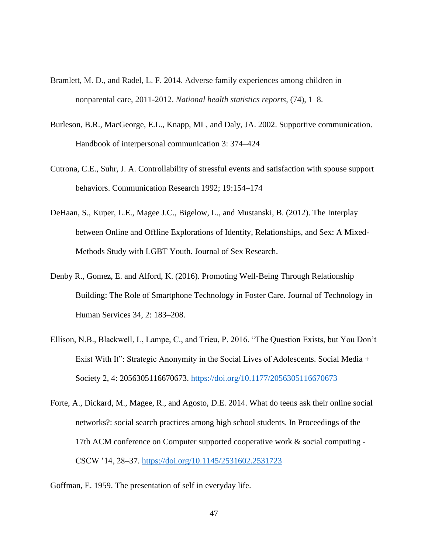- Bramlett, M. D., and Radel, L. F. 2014. Adverse family experiences among children in nonparental care, 2011-2012. *National health statistics reports*, (74), 1–8.
- Burleson, B.R., MacGeorge, E.L., Knapp, ML, and Daly, JA. 2002. Supportive communication. Handbook of interpersonal communication 3: 374–424
- Cutrona, C.E., Suhr, J. A. Controllability of stressful events and satisfaction with spouse support behaviors. Communication Research 1992; 19:154–174
- DeHaan, S., Kuper, L.E., Magee J.C., Bigelow, L., and Mustanski, B. (2012). The Interplay between Online and Offline Explorations of Identity, Relationships, and Sex: A Mixed-Methods Study with LGBT Youth. Journal of Sex Research.
- Denby R., Gomez, E. and Alford, K. (2016). Promoting Well-Being Through Relationship Building: The Role of Smartphone Technology in Foster Care. Journal of Technology in Human Services 34, 2: 183–208.
- Ellison, N.B., Blackwell, L, Lampe, C., and Trieu, P. 2016. "The Question Exists, but You Don't Exist With It": Strategic Anonymity in the Social Lives of Adolescents. Social Media + Society 2, 4: 2056305116670673.<https://doi.org/10.1177/2056305116670673>
- Forte, A., Dickard, M., Magee, R., and Agosto, D.E. 2014. What do teens ask their online social networks?: social search practices among high school students. In Proceedings of the 17th ACM conference on Computer supported cooperative work & social computing - CSCW '14, 28–37.<https://doi.org/10.1145/2531602.2531723>
- Goffman, E. 1959. The presentation of self in everyday life.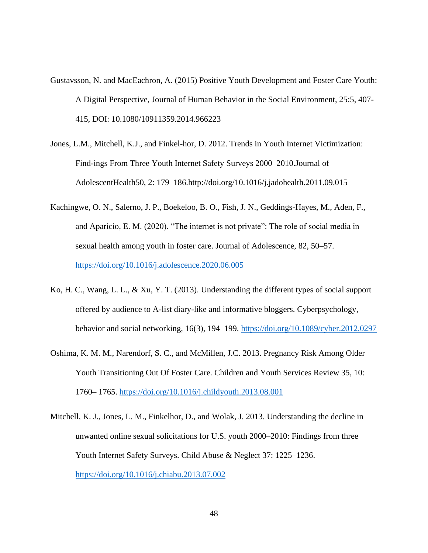- Gustavsson, N. and MacEachron, A. (2015) Positive Youth Development and Foster Care Youth: A Digital Perspective, Journal of Human Behavior in the Social Environment, 25:5, 407- 415, DOI: 10.1080/10911359.2014.966223
- Jones, L.M., Mitchell, K.J., and Finkel-hor, D. 2012. Trends in Youth Internet Victimization: Find-ings From Three Youth Internet Safety Surveys 2000–2010.Journal of AdolescentHealth50, 2: 179–186.http://doi.org/10.1016/j.jadohealth.2011.09.015
- Kachingwe, O. N., Salerno, J. P., Boekeloo, B. O., Fish, J. N., Geddings-Hayes, M., Aden, F., and Aparicio, E. M. (2020). "The internet is not private": The role of social media in sexual health among youth in foster care. Journal of Adolescence, 82, 50–57. <https://doi.org/10.1016/j.adolescence.2020.06.005>
- Ko, H. C., Wang, L. L., & Xu, Y. T. (2013). Understanding the different types of social support offered by audience to A-list diary-like and informative bloggers. Cyberpsychology, behavior and social networking, 16(3), 194–199. [https://doi.org/](https://doi.org/10.1089/cyber.2012.0297)10.1089/cyber.2012.0297
- Oshima, K. M. M., Narendorf, S. C., and McMillen, J.C. 2013. Pregnancy Risk Among Older Youth Transitioning Out Of Foster Care. Children and Youth Services Review 35, 10: 1760– 1765.<https://doi.org/10.1016/j.childyouth.2013.08.001>
- Mitchell, K. J., Jones, L. M., Finkelhor, D., and Wolak, J. 2013. Understanding the decline in unwanted online sexual solicitations for U.S. youth 2000–2010: Findings from three Youth Internet Safety Surveys. Child Abuse & Neglect 37: 1225–1236. <https://doi.org/10.1016/j.chiabu.2013.07.002>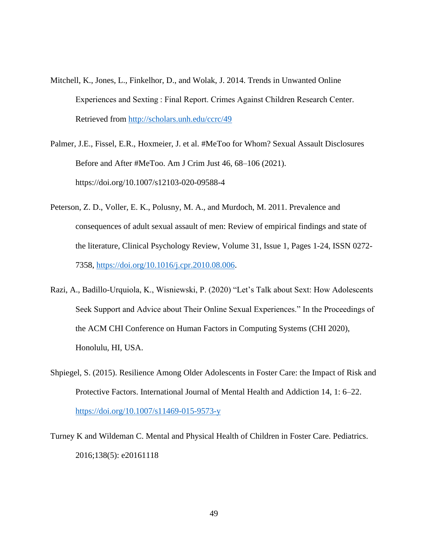- Mitchell, K., Jones, L., Finkelhor, D., and Wolak, J. 2014. Trends in Unwanted Online Experiences and Sexting : Final Report. Crimes Against Children Research Center. Retrieved from<http://scholars.unh.edu/ccrc/49>
- Palmer, J.E., Fissel, E.R., Hoxmeier, J. et al. #MeToo for Whom? Sexual Assault Disclosures Before and After #MeToo. Am J Crim Just 46, 68–106 (2021). https://doi.org/10.1007/s12103-020-09588-4
- Peterson, Z. D., Voller, E. K., Polusny, M. A., and Murdoch, M. 2011. Prevalence and consequences of adult sexual assault of men: Review of empirical findings and state of the literature, Clinical Psychology Review, Volume 31, Issue 1, Pages 1-24, ISSN 0272- 7358, [https://doi.org/10.1016/j.cpr.2010.08.006.](https://doi.org/10.1016/j.cpr.2010.08.006)
- Razi, A., Badillo-Urquiola, K., Wisniewski, P. (2020) "Let's Talk about Sext: How Adolescents Seek Support and Advice about Their Online Sexual Experiences." In the Proceedings of the ACM CHI Conference on Human Factors in Computing Systems (CHI 2020), Honolulu, HI, USA.
- Shpiegel, S. (2015). Resilience Among Older Adolescents in Foster Care: the Impact of Risk and Protective Factors. International Journal of Mental Health and Addiction 14, 1: 6–22. <https://doi.org/10.1007/s11469-015-9573-y>
- Turney K and Wildeman C. Mental and Physical Health of Children in Foster Care. Pediatrics. 2016;138(5): e20161118